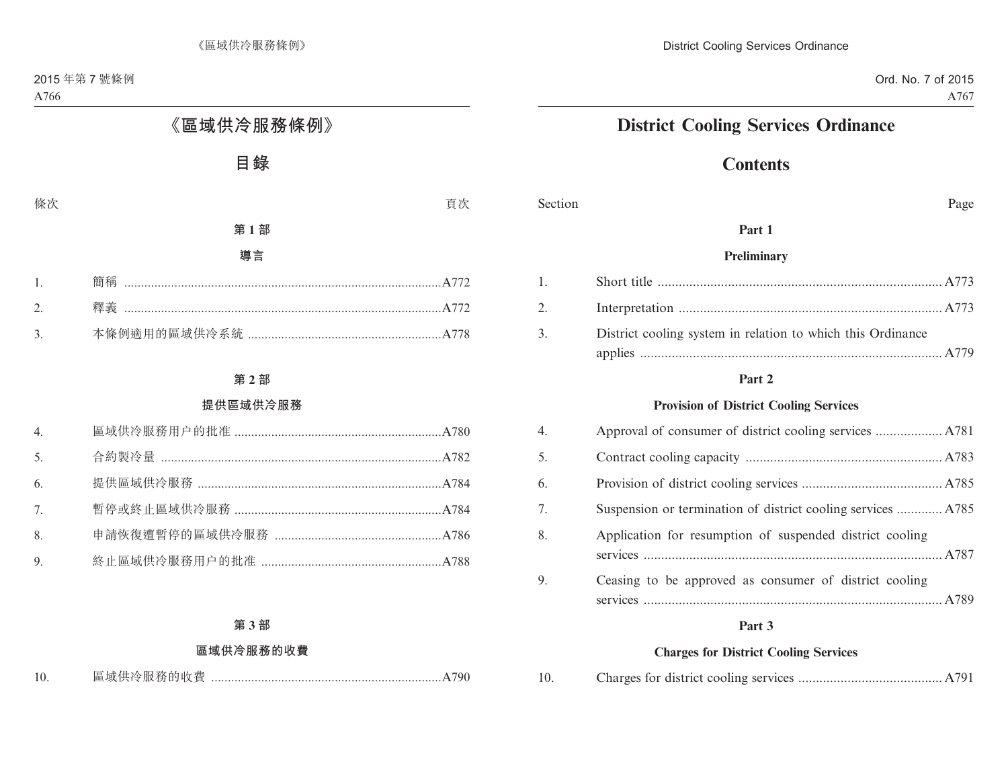# **District Cooling Services Ordinance**

# **Contents**

Section Page

### **Part 1**

#### **Preliminary**

| 2. |                                                             |  |
|----|-------------------------------------------------------------|--|
| 3. | District cooling system in relation to which this Ordinance |  |
|    |                                                             |  |

#### **Part 2**

#### **Provision of District Cooling Services**

| 4. |                                                              |  |
|----|--------------------------------------------------------------|--|
| 5. |                                                              |  |
| 6. |                                                              |  |
| 7. | Suspension or termination of district cooling services  A785 |  |
| 8. | Application for resumption of suspended district cooling     |  |
| 9. | Ceasing to be approved as consumer of district cooling       |  |

#### **Part 3**

#### **Charges for District Cooling Services**

| 10. |  |  |  |  |
|-----|--|--|--|--|
|-----|--|--|--|--|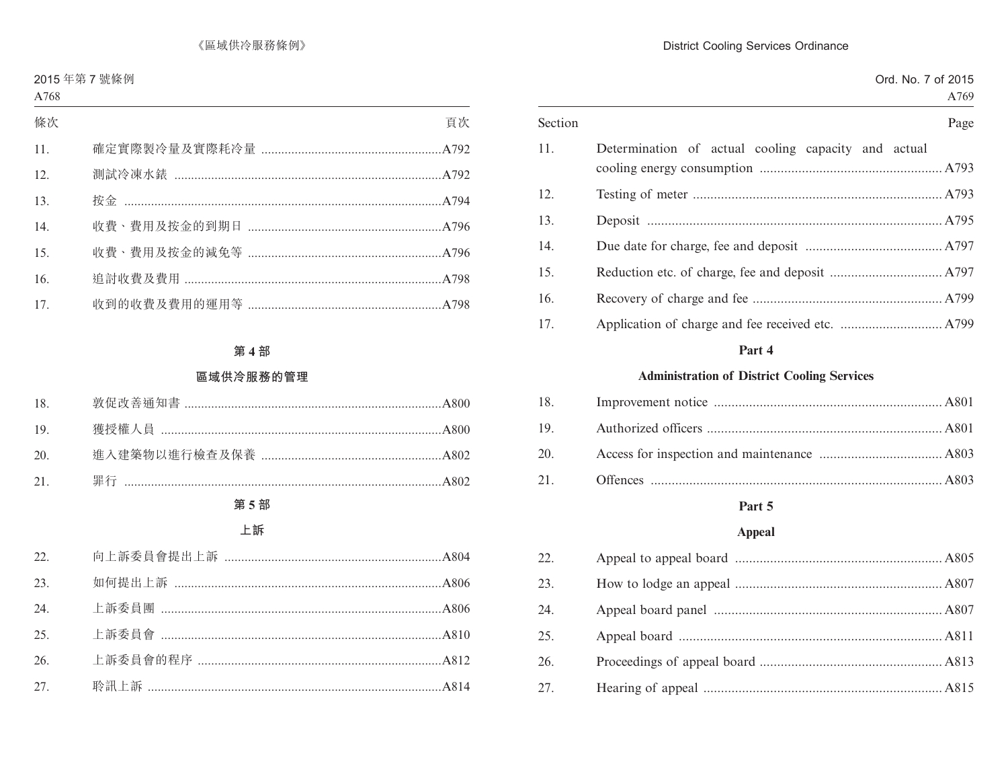| Section | Page                                                |  |
|---------|-----------------------------------------------------|--|
| 11.     | Determination of actual cooling capacity and actual |  |
| 12.     |                                                     |  |
| 13.     |                                                     |  |
| 14.     |                                                     |  |
| 15.     |                                                     |  |
| 16.     |                                                     |  |
| 17.     |                                                     |  |

# Part 4

### **Administration of District Cooling Services**

# Part 5

### Appeal

| 22. |  |
|-----|--|
| 23. |  |
| 24. |  |
| 25. |  |
| 26. |  |
| 27. |  |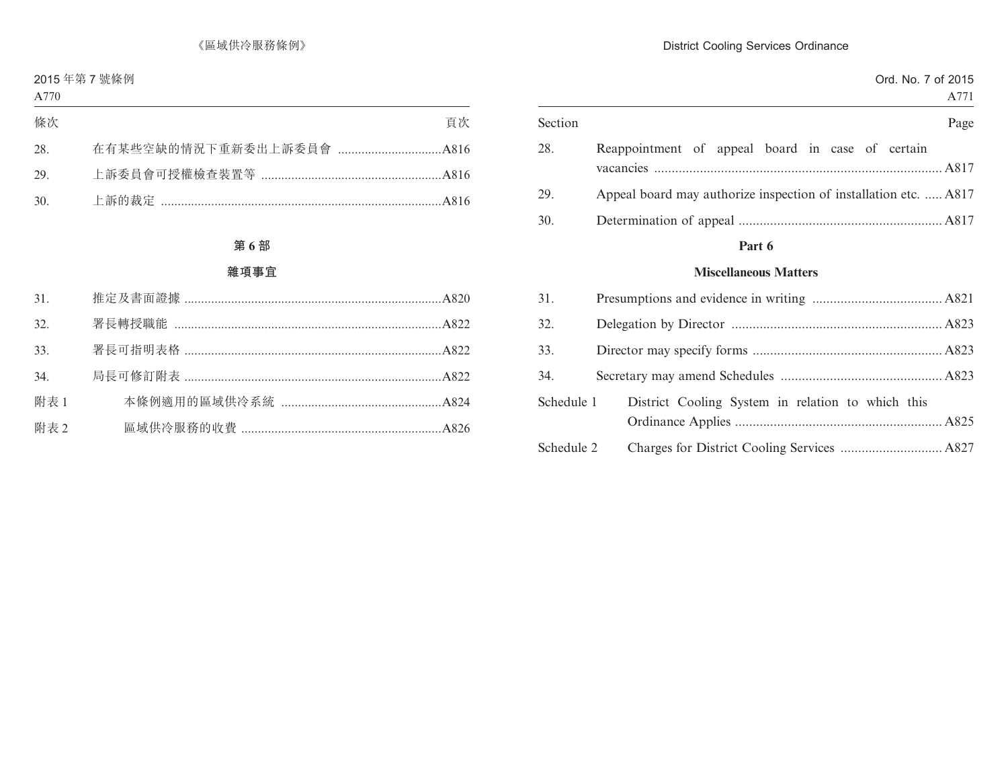|         |                                                                  |  |  |  | Ord. No. 7 of 2015 | A771 |
|---------|------------------------------------------------------------------|--|--|--|--------------------|------|
| Section |                                                                  |  |  |  |                    | Page |
| 28.     | Reappointment of appeal board in case of certain                 |  |  |  |                    |      |
| 29.     | Appeal board may authorize inspection of installation etc.  A817 |  |  |  |                    |      |

30. Determination of appeal .......................................................... A817

### **Part 6**

#### **Miscellaneous Matters**

| 31.        |                                                   |  |
|------------|---------------------------------------------------|--|
| 32.        |                                                   |  |
| 33.        |                                                   |  |
| 34.        |                                                   |  |
| Schedule 1 | District Cooling System in relation to which this |  |
| Schedule 2 |                                                   |  |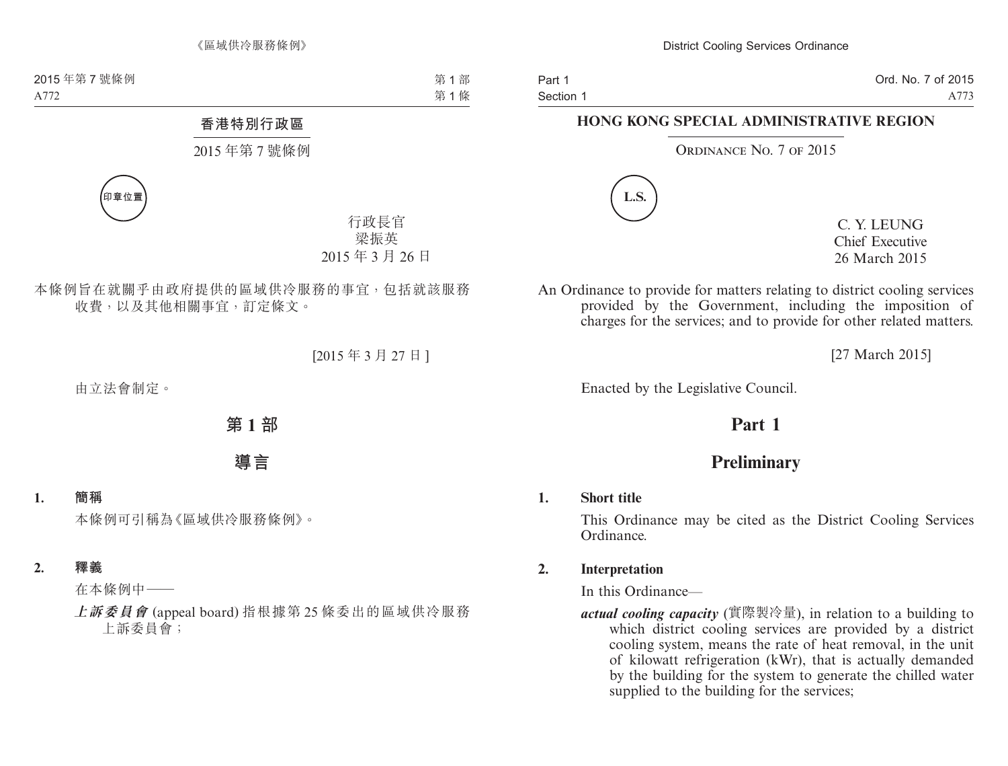Ord. No. 7 of 2015 A773

# **HONG KONG SPECIAL ADMINISTRATIVE REGION**

#### ORDINANCE NO. 7 OF 2015



C. Y. LEUNG Chief Executive 26 March 2015

An Ordinance to provide for matters relating to district cooling services provided by the Government, including the imposition of charges for the services; and to provide for other related matters.

[27 March 2015]

Enacted by the Legislative Council.

# **Part 1**

# **Preliminary**

### **1. Short title**

This Ordinance may be cited as the District Cooling Services Ordinance.

### **2. Interpretation**

In this Ordinance—

*actual cooling capacity* (實際製冷量), in relation to a building to which district cooling services are provided by a district cooling system, means the rate of heat removal, in the unit of kilowatt refrigeration (kWr), that is actually demanded by the building for the system to generate the chilled water supplied to the building for the services;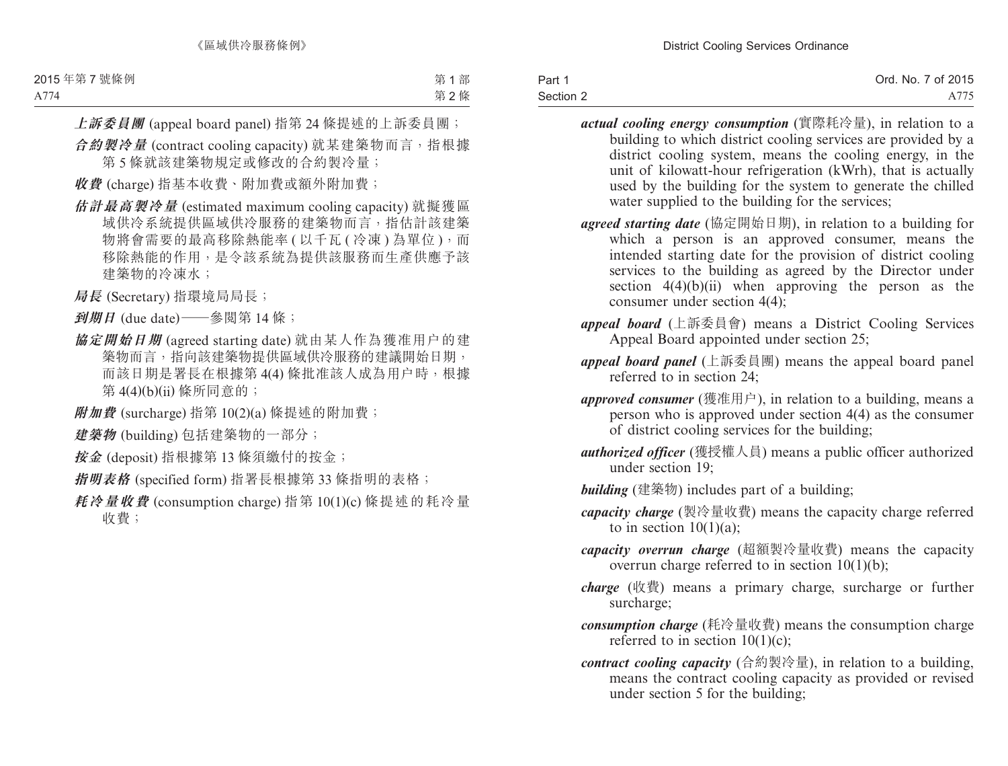| Part 1    | Ord. No. 7 of 2015 |
|-----------|--------------------|
| Section 2 | A775               |

- *actual cooling energy consumption* (實際耗冷量), in relation to a building to which district cooling services are provided by a district cooling system, means the cooling energy, in the unit of kilowatt-hour refrigeration (kWrh), that is actually used by the building for the system to generate the chilled water supplied to the building for the services;
- *agreed starting date* (協定開始日期), in relation to a building for which a person is an approved consumer, means the intended starting date for the provision of district cooling services to the building as agreed by the Director under section  $4(4)(b)(ii)$  when approving the person as the consumer under section 4(4);
- *appeal board* (上訴委員會) means a District Cooling Services Appeal Board appointed under section 25;
- *appeal board panel* (上訴委員團) means the appeal board panel referred to in section 24;
- *approved consumer* (獲准用户), in relation to a building, means a person who is approved under section 4(4) as the consumer of district cooling services for the building;
- *authorized officer* (獲授權人員) means a public officer authorized under section 19;
- *building* (建築物) includes part of a building;
- *capacity charge* (製冷量收費) means the capacity charge referred to in section  $10(1)(a)$ ;
- *capacity overrun charge* (超額製冷量收費) means the capacity overrun charge referred to in section 10(1)(b);
- *charge* (收費) means a primary charge, surcharge or further surcharge;
- *consumption charge* (耗冷量收費) means the consumption charge referred to in section 10(1)(c);
- *contract cooling capacity* (合約製冷量), in relation to a building, means the contract cooling capacity as provided or revised under section 5 for the building;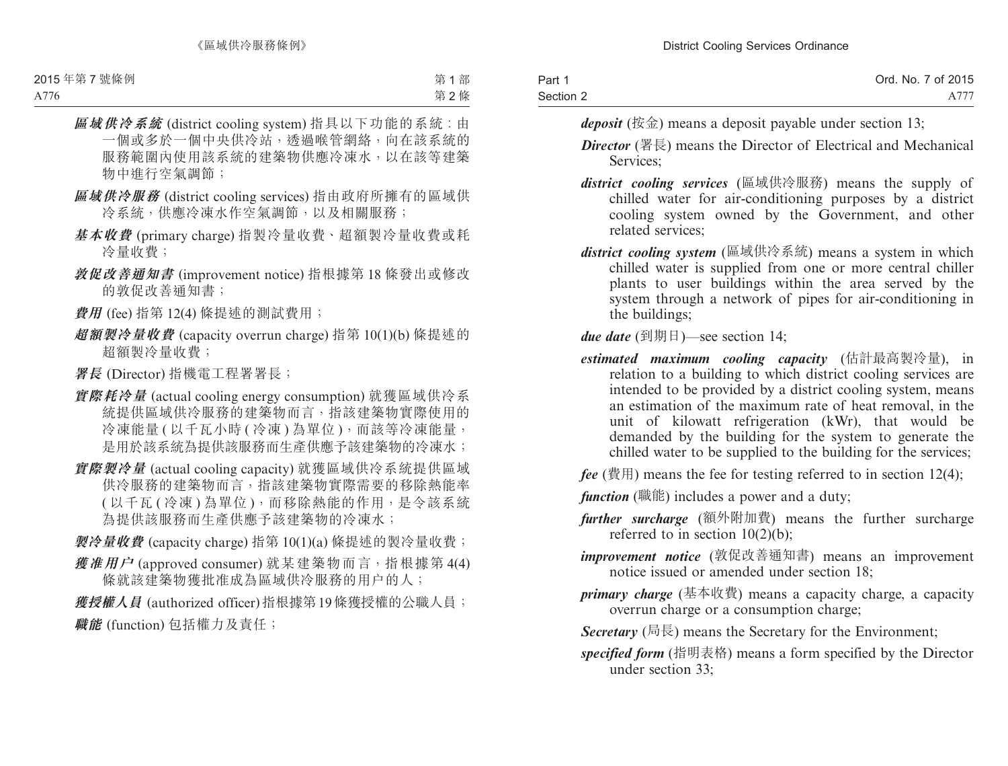| Part 1    | Ord. No. 7 of 2015 |
|-----------|--------------------|
| Section 2 | A777               |

*deposit* (按金) means a deposit payable under section 13;

- *Director* (署長) means the Director of Electrical and Mechanical Services;
- *district cooling services* (區域供冷服務) means the supply of chilled water for air-conditioning purposes by a district cooling system owned by the Government, and other related services;
- *district cooling system* (區域供冷系統) means a system in which chilled water is supplied from one or more central chiller plants to user buildings within the area served by the system through a network of pipes for air-conditioning in the buildings;
- *due date* (到期日)—see section 14;
- *estimated maximum cooling capacity* (估計最高製冷量), in relation to a building to which district cooling services are intended to be provided by a district cooling system, means an estimation of the maximum rate of heat removal, in the unit of kilowatt refrigeration (kWr), that would be demanded by the building for the system to generate the chilled water to be supplied to the building for the services;
- $fee$  (費用) means the fee for testing referred to in section 12(4);
- *function* (職能) includes a power and a duty;
- *further surcharge* (額外附加費) means the further surcharge referred to in section  $10(2)(b)$ ;
- *improvement notice* (敦促改善通知書) means an improvement notice issued or amended under section 18;
- *primary charge* (基本收費) means a capacity charge, a capacity overrun charge or a consumption charge;
- *Secretary* (局長) means the Secretary for the Environment;
- *specified form* (指明表格) means a form specified by the Director under section 33;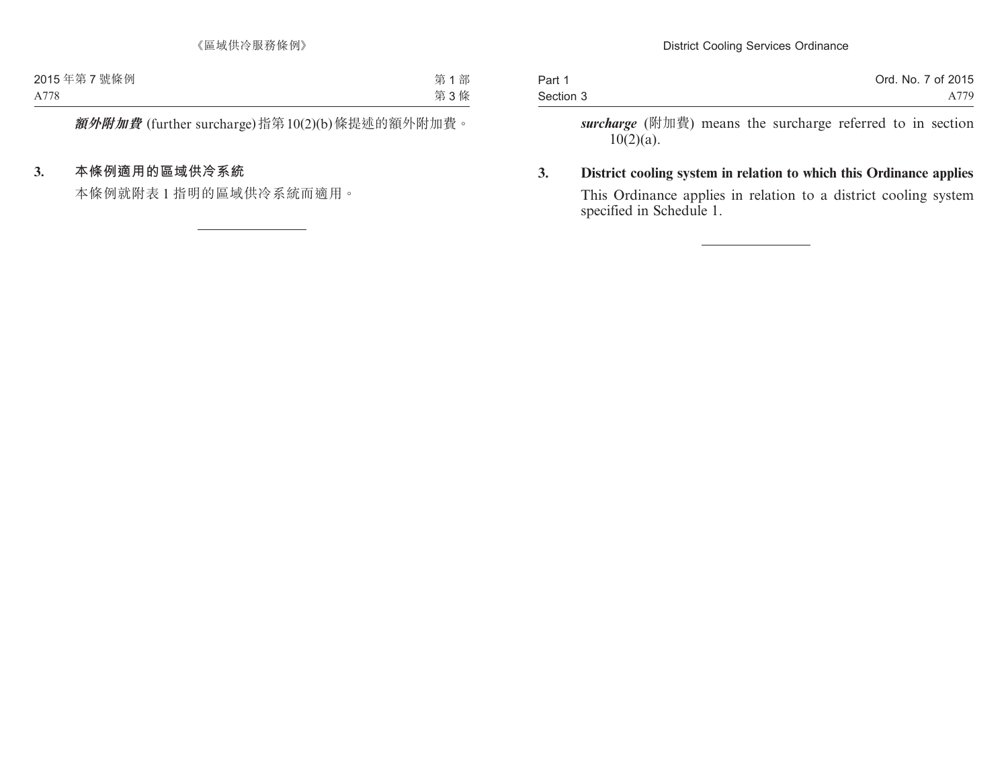| Part 1    | Ord. No. 7 of 2015 |
|-----------|--------------------|
| Section 3 | A779               |

*surcharge* (附加費) means the surcharge referred to in section  $10(2)(a)$ .

**3. District cooling system in relation to which this Ordinance applies** This Ordinance applies in relation to a district cooling system specified in Schedule 1.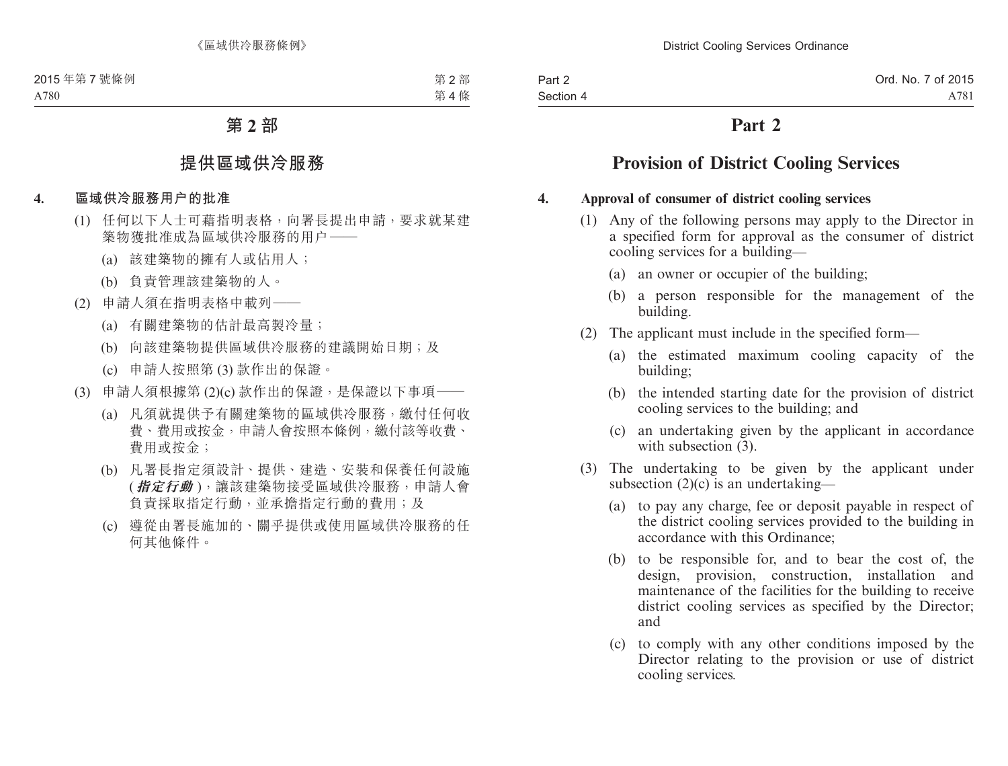# **Part 2**

# **Provision of District Cooling Services**

### **4. Approval of consumer of district cooling services**

- (1) Any of the following persons may apply to the Director in a specified form for approval as the consumer of district cooling services for a building—
	- (a) an owner or occupier of the building;
	- (b) a person responsible for the management of the building.
- (2) The applicant must include in the specified form—
	- (a) the estimated maximum cooling capacity of the building;
	- (b) the intended starting date for the provision of district cooling services to the building; and
	- (c) an undertaking given by the applicant in accordance with subsection  $(3)$ .
- (3) The undertaking to be given by the applicant under subsection  $(2)(c)$  is an undertaking—
	- (a) to pay any charge, fee or deposit payable in respect of the district cooling services provided to the building in accordance with this Ordinance;
	- (b) to be responsible for, and to bear the cost of, the design, provision, construction, installation and maintenance of the facilities for the building to receive district cooling services as specified by the Director; and
	- (c) to comply with any other conditions imposed by the Director relating to the provision or use of district cooling services.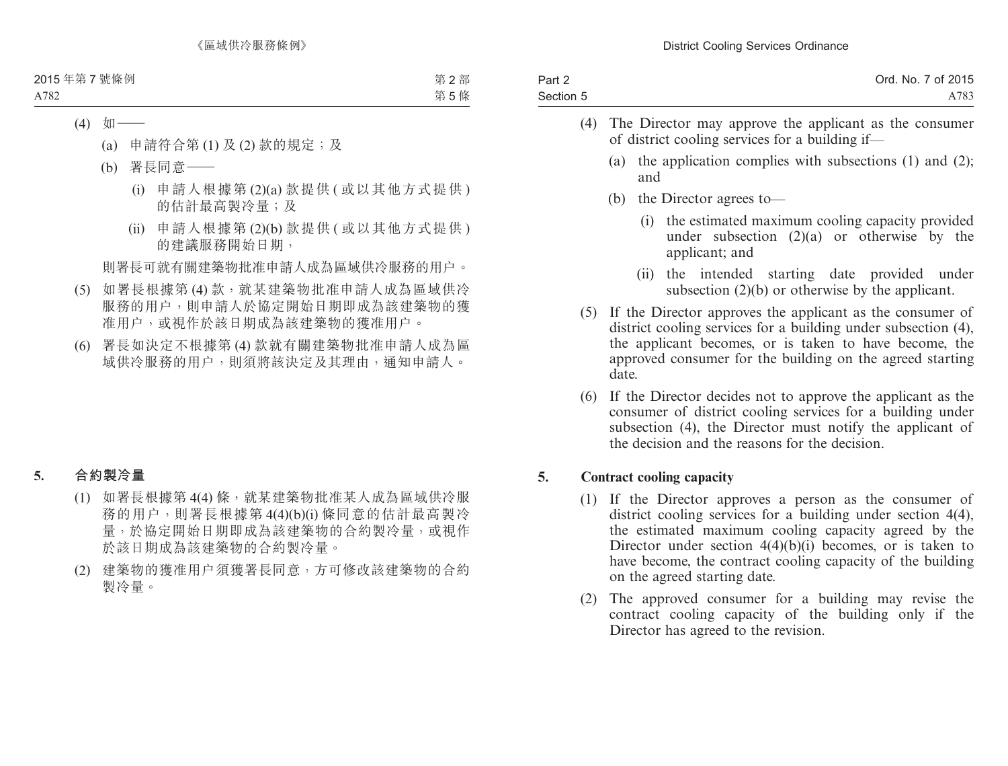| Part 2    | Ord. No. 7 of 2015 |
|-----------|--------------------|
| Section 5 | A783               |

- (4) The Director may approve the applicant as the consumer of district cooling services for a building if—
	- (a) the application complies with subsections (1) and (2); and
	- (b) the Director agrees to—
		- (i) the estimated maximum cooling capacity provided under subsection  $(2)(a)$  or otherwise by the applicant; and
		- (ii) the intended starting date provided under subsection (2)(b) or otherwise by the applicant.
- (5) If the Director approves the applicant as the consumer of district cooling services for a building under subsection  $(4)$ , the applicant becomes, or is taken to have become, the approved consumer for the building on the agreed starting date.
- (6) If the Director decides not to approve the applicant as the consumer of district cooling services for a building under subsection (4), the Director must notify the applicant of the decision and the reasons for the decision.

# **5. Contract cooling capacity**

- (1) If the Director approves a person as the consumer of district cooling services for a building under section 4(4), the estimated maximum cooling capacity agreed by the Director under section  $4(4)(b)(i)$  becomes, or is taken to have become, the contract cooling capacity of the building on the agreed starting date.
- (2) The approved consumer for a building may revise the contract cooling capacity of the building only if the Director has agreed to the revision.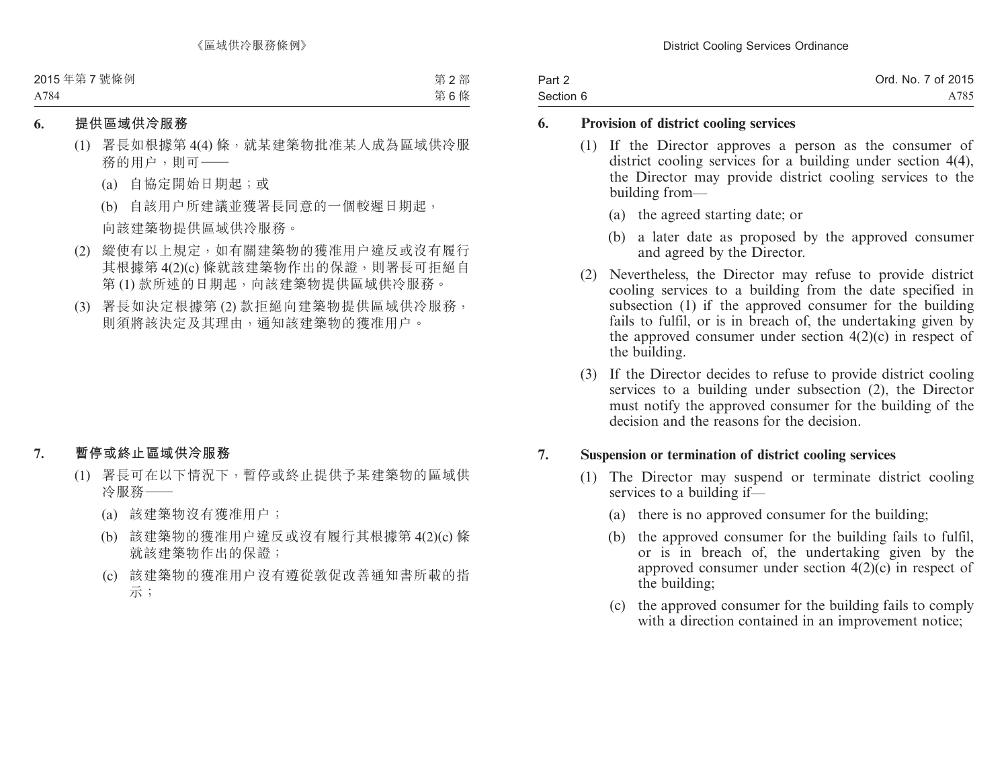| Part 2    | Ord. No. 7 of 2015 |
|-----------|--------------------|
| Section 6 | A785               |

### **6. Provision of district cooling services**

- (1) If the Director approves a person as the consumer of district cooling services for a building under section 4(4), the Director may provide district cooling services to the building from—
	- (a) the agreed starting date; or
	- (b) a later date as proposed by the approved consumer and agreed by the Director.
- (2) Nevertheless, the Director may refuse to provide district cooling services to a building from the date specified in subsection (1) if the approved consumer for the building fails to fulfil, or is in breach of, the undertaking given by the approved consumer under section  $4(2)(c)$  in respect of the building.
- (3) If the Director decides to refuse to provide district cooling services to a building under subsection (2), the Director must notify the approved consumer for the building of the decision and the reasons for the decision.

### **7. Suspension or termination of district cooling services**

- (1) The Director may suspend or terminate district cooling services to a building if—
	- (a) there is no approved consumer for the building;
	- (b) the approved consumer for the building fails to fulfil, or is in breach of, the undertaking given by the approved consumer under section 4(2)(c) in respect of the building;
	- (c) the approved consumer for the building fails to comply with a direction contained in an improvement notice;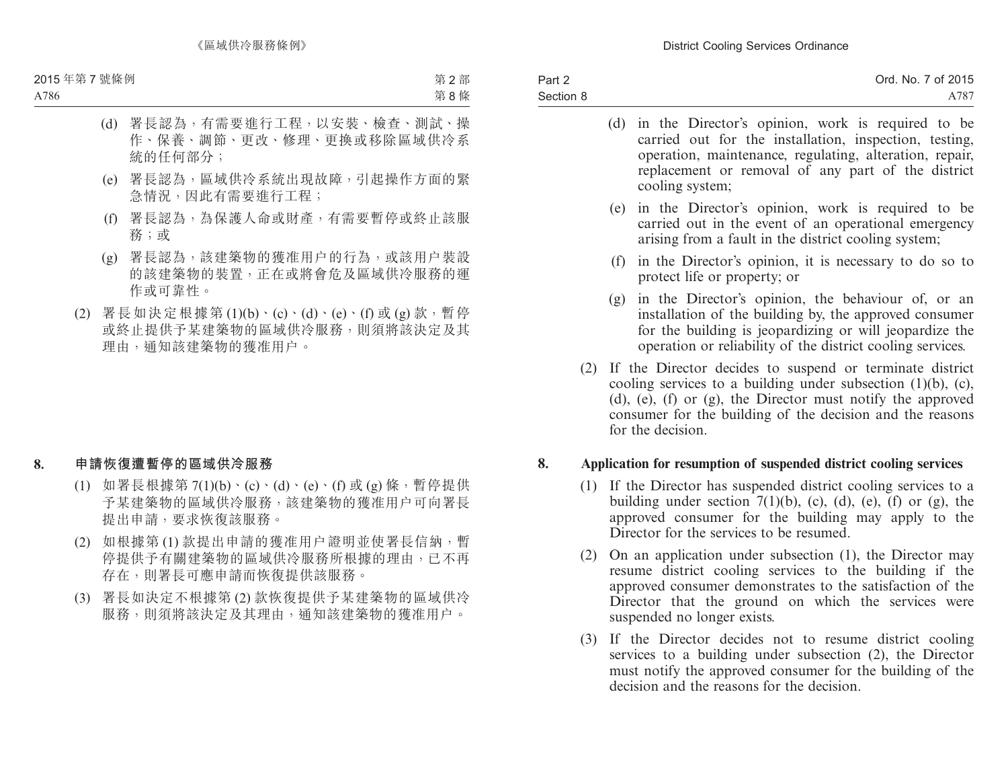| Part 2    | Ord. No. 7 of 2015 |
|-----------|--------------------|
| Section 8 | A787               |

- (d) in the Director's opinion, work is required to be carried out for the installation, inspection, testing, operation, maintenance, regulating, alteration, repair, replacement or removal of any part of the district cooling system;
- (e) in the Director's opinion, work is required to be carried out in the event of an operational emergency arising from a fault in the district cooling system;
- (f) in the Director's opinion, it is necessary to do so to protect life or property; or
- (g) in the Director's opinion, the behaviour of, or an installation of the building by, the approved consumer for the building is jeopardizing or will jeopardize the operation or reliability of the district cooling services.
- (2) If the Director decides to suspend or terminate district cooling services to a building under subsection  $(1)(b)$ ,  $(c)$ , (d), (e), (f) or (g), the Director must notify the approved consumer for the building of the decision and the reasons for the decision.

# **8. Application for resumption of suspended district cooling services**

- (1) If the Director has suspended district cooling services to a building under section  $7(1)(b)$ , (c), (d), (e), (f) or (g), the approved consumer for the building may apply to the Director for the services to be resumed.
- (2) On an application under subsection (1), the Director may resume district cooling services to the building if the approved consumer demonstrates to the satisfaction of the Director that the ground on which the services were suspended no longer exists.
- (3) If the Director decides not to resume district cooling services to a building under subsection (2), the Director must notify the approved consumer for the building of the decision and the reasons for the decision.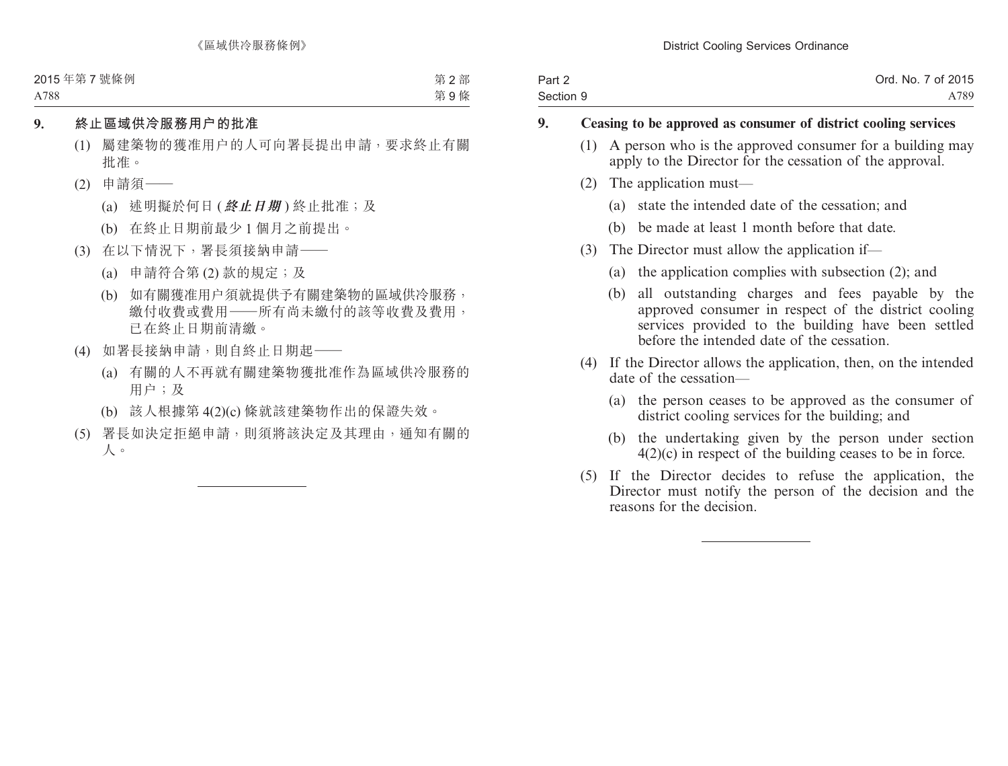| Part 2    | Ord. No. 7 of 2015 |
|-----------|--------------------|
| Section 9 | A789               |

# **9. Ceasing to be approved as consumer of district cooling services**

- (1) A person who is the approved consumer for a building may apply to the Director for the cessation of the approval.
- (2) The application must—
	- (a) state the intended date of the cessation; and
	- (b) be made at least 1 month before that date.
- (3) The Director must allow the application if—
	- (a) the application complies with subsection (2); and
	- (b) all outstanding charges and fees payable by the approved consumer in respect of the district cooling services provided to the building have been settled before the intended date of the cessation.
- (4) If the Director allows the application, then, on the intended date of the cessation—
	- (a) the person ceases to be approved as the consumer of district cooling services for the building; and
	- (b) the undertaking given by the person under section 4(2)(c) in respect of the building ceases to be in force.
- (5) If the Director decides to refuse the application, the Director must notify the person of the decision and the reasons for the decision.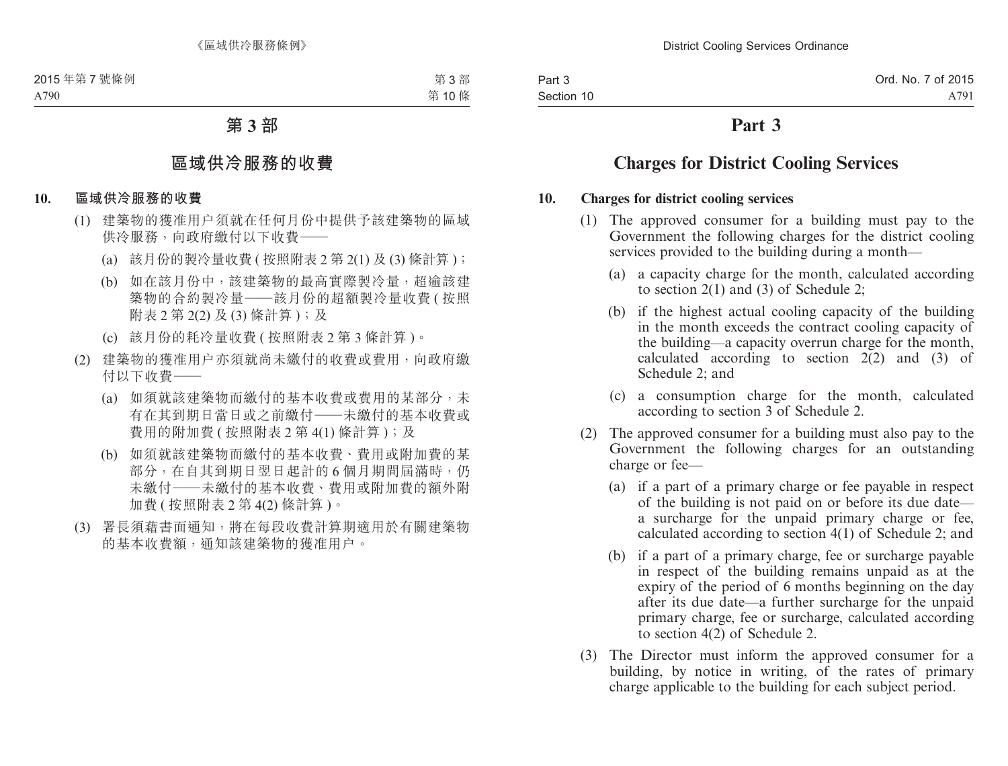# **Part 3**

# **Charges for District Cooling Services**

### **10. Charges for district cooling services**

- (1) The approved consumer for a building must pay to the Government the following charges for the district cooling services provided to the building during a month—
	- (a) a capacity charge for the month, calculated according to section 2(1) and (3) of Schedule 2;
	- (b) if the highest actual cooling capacity of the building in the month exceeds the contract cooling capacity of the building—a capacity overrun charge for the month, calculated according to section 2(2) and (3) of Schedule 2; and
	- (c) a consumption charge for the month, calculated according to section 3 of Schedule 2.
- (2) The approved consumer for a building must also pay to the Government the following charges for an outstanding charge or fee—
	- (a) if a part of a primary charge or fee payable in respect of the building is not paid on or before its due date a surcharge for the unpaid primary charge or fee, calculated according to section 4(1) of Schedule 2; and
	- (b) if a part of a primary charge, fee or surcharge payable in respect of the building remains unpaid as at the expiry of the period of 6 months beginning on the day after its due date—a further surcharge for the unpaid primary charge, fee or surcharge, calculated according to section 4(2) of Schedule 2.
- (3) The Director must inform the approved consumer for a building, by notice in writing, of the rates of primary charge applicable to the building for each subject period.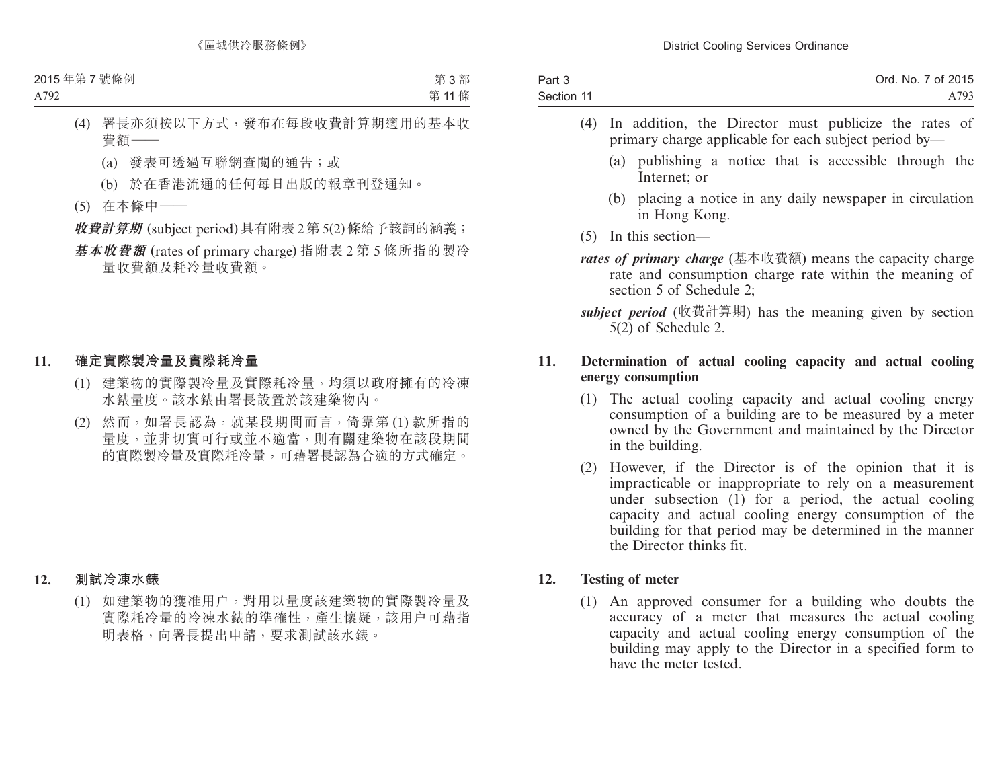| Part 3     | Ord. No. 7 of 2015 |
|------------|--------------------|
| Section 11 | A793               |

- (4) In addition, the Director must publicize the rates of primary charge applicable for each subject period by—
	- (a) publishing a notice that is accessible through the Internet; or
	- (b) placing a notice in any daily newspaper in circulation in Hong Kong.
- (5) In this section—
- *rates of primary charge* (基本收費額) means the capacity charge rate and consumption charge rate within the meaning of section 5 of Schedule 2;

*subject period* (收費計算期) has the meaning given by section  $5(2)$  of Schedule 2.

# **11. Determination of actual cooling capacity and actual cooling energy consumption**

- (1) The actual cooling capacity and actual cooling energy consumption of a building are to be measured by a meter owned by the Government and maintained by the Director in the building.
- (2) However, if the Director is of the opinion that it is impracticable or inappropriate to rely on a measurement under subsection  $(1)$  for a period, the actual cooling capacity and actual cooling energy consumption of the building for that period may be determined in the manner the Director thinks fit.

# **12. Testing of meter**

(1) An approved consumer for a building who doubts the accuracy of a meter that measures the actual cooling capacity and actual cooling energy consumption of the building may apply to the Director in a specified form to have the meter tested.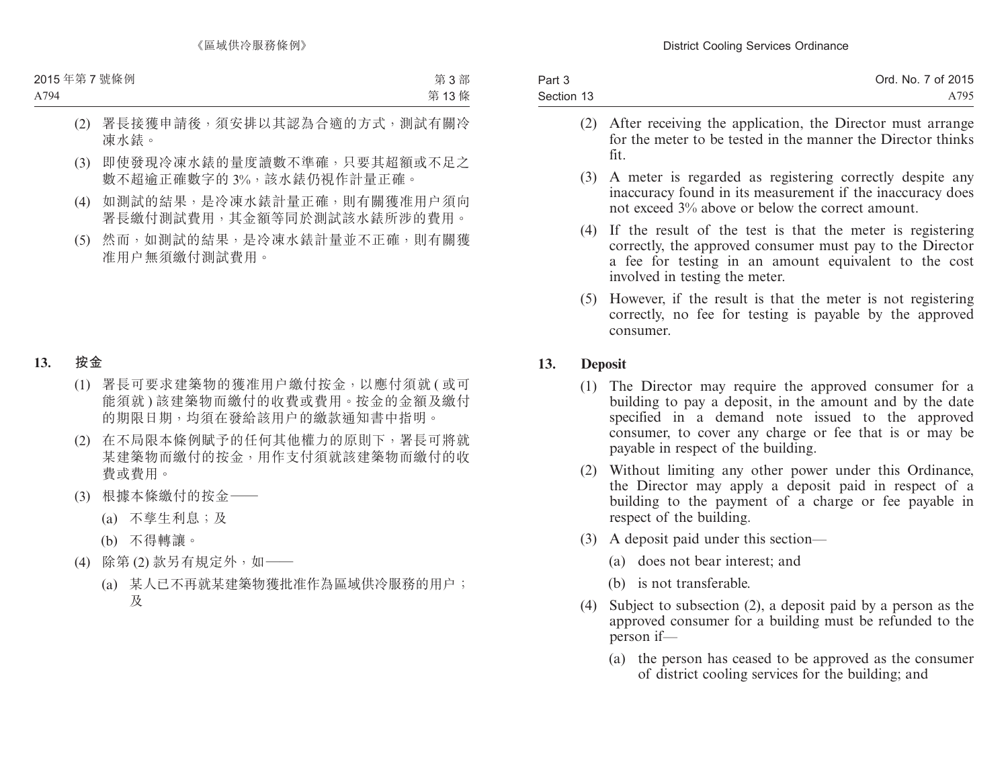| Part 3     | Ord. No. 7 of 2015 |
|------------|--------------------|
| Section 13 | A795               |

- (2) After receiving the application, the Director must arrange for the meter to be tested in the manner the Director thinks fit.
- (3) A meter is regarded as registering correctly despite any inaccuracy found in its measurement if the inaccuracy does not exceed 3% above or below the correct amount.
- (4) If the result of the test is that the meter is registering correctly, the approved consumer must pay to the Director a fee for testing in an amount equivalent to the cost involved in testing the meter.
- (5) However, if the result is that the meter is not registering correctly, no fee for testing is payable by the approved consumer.

# **13. Deposit**

- (1) The Director may require the approved consumer for a building to pay a deposit, in the amount and by the date specified in a demand note issued to the approved consumer, to cover any charge or fee that is or may be payable in respect of the building.
- (2) Without limiting any other power under this Ordinance, the Director may apply a deposit paid in respect of a building to the payment of a charge or fee payable in respect of the building.
- (3) A deposit paid under this section—
	- (a) does not bear interest; and
	- (b) is not transferable.
- (4) Subject to subsection (2), a deposit paid by a person as the approved consumer for a building must be refunded to the person if—
	- (a) the person has ceased to be approved as the consumer of district cooling services for the building; and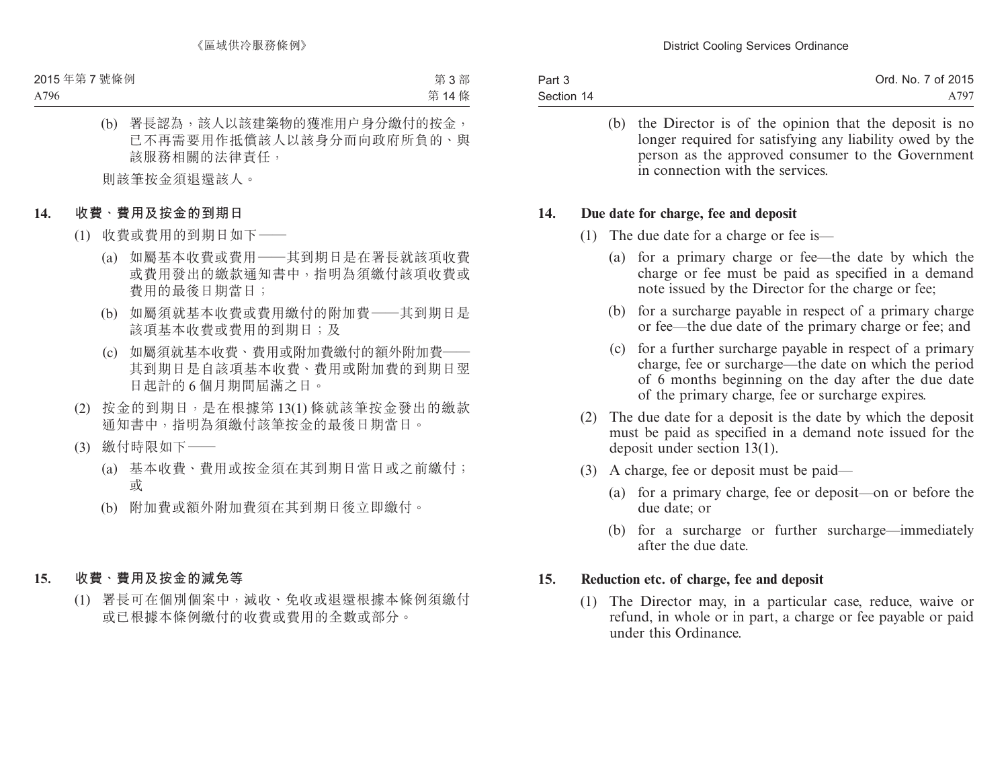| Part 3     | Ord. No. 7 of 2015 |
|------------|--------------------|
| Section 14 | A 797              |

(b) the Director is of the opinion that the deposit is no longer required for satisfying any liability owed by the person as the approved consumer to the Government in connection with the services.

### **14. Due date for charge, fee and deposit**

- (1) The due date for a charge or fee is—
	- (a) for a primary charge or fee—the date by which the charge or fee must be paid as specified in a demand note issued by the Director for the charge or fee;
	- (b) for a surcharge payable in respect of a primary charge or fee—the due date of the primary charge or fee; and
	- (c) for a further surcharge payable in respect of a primary charge, fee or surcharge—the date on which the period of 6 months beginning on the day after the due date of the primary charge, fee or surcharge expires.
- (2) The due date for a deposit is the date by which the deposit must be paid as specified in a demand note issued for the deposit under section 13(1).
- (3) A charge, fee or deposit must be paid—
	- (a) for a primary charge, fee or deposit—on or before the due date; or
	- (b) for a surcharge or further surcharge—immediately after the due date.

# **15. Reduction etc. of charge, fee and deposit**

(1) The Director may, in a particular case, reduce, waive or refund, in whole or in part, a charge or fee payable or paid under this Ordinance.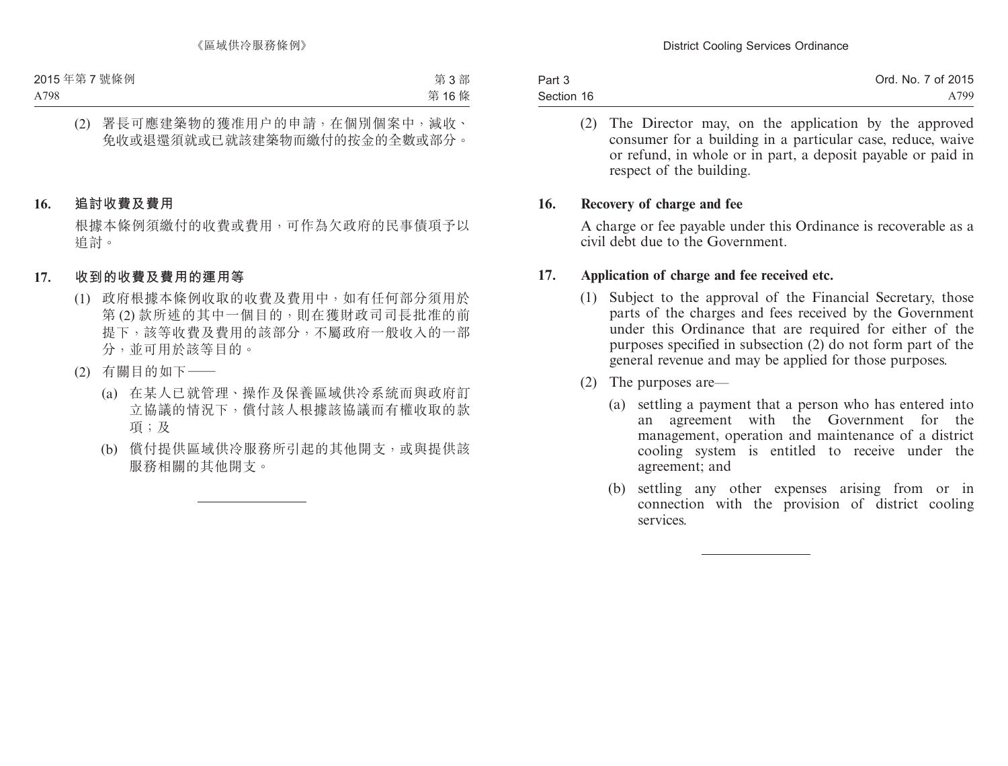| Part 3     | Ord. No. 7 of 2015 |
|------------|--------------------|
| Section 16 | A799               |

(2) The Director may, on the application by the approved consumer for a building in a particular case, reduce, waive or refund, in whole or in part, a deposit payable or paid in respect of the building.

### **16. Recovery of charge and fee**

A charge or fee payable under this Ordinance is recoverable as a civil debt due to the Government.

# **17. Application of charge and fee received etc.**

- (1) Subject to the approval of the Financial Secretary, those parts of the charges and fees received by the Government under this Ordinance that are required for either of the purposes specified in subsection (2) do not form part of the general revenue and may be applied for those purposes.
- (2) The purposes are—
	- (a) settling a payment that a person who has entered into an agreement with the Government for the management, operation and maintenance of a district cooling system is entitled to receive under the agreement; and
	- (b) settling any other expenses arising from or in connection with the provision of district cooling services.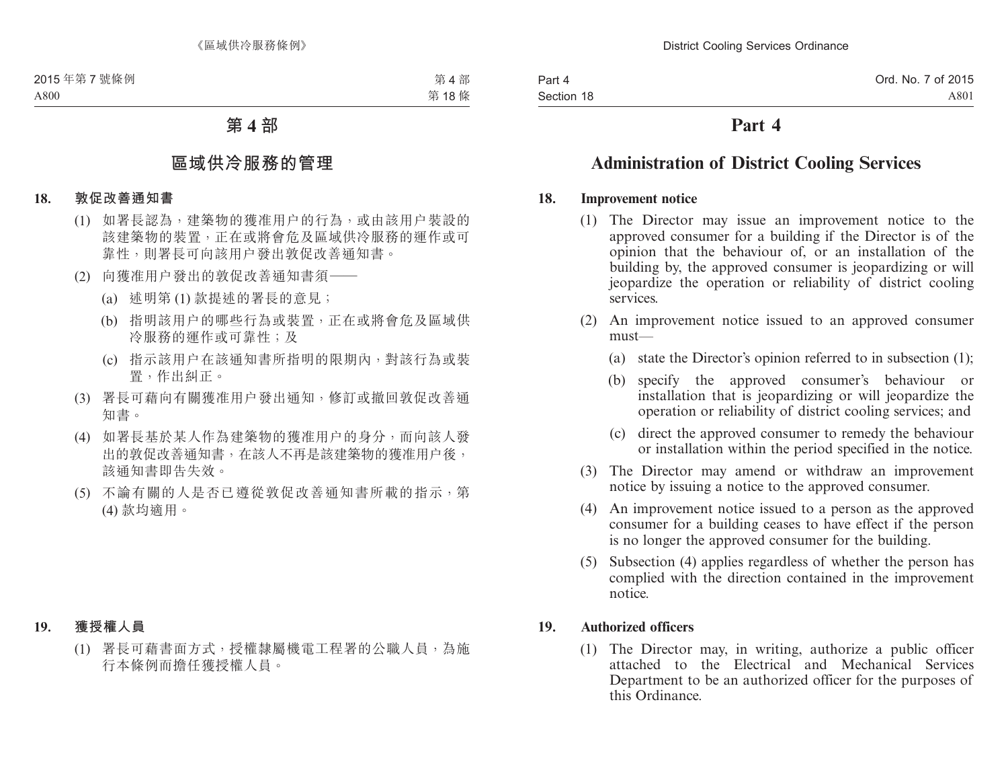# **Part 4**

# **Administration of District Cooling Services**

### **18. Improvement notice**

- (1) The Director may issue an improvement notice to the approved consumer for a building if the Director is of the opinion that the behaviour of, or an installation of the building by, the approved consumer is jeopardizing or will jeopardize the operation or reliability of district cooling services.
- (2) An improvement notice issued to an approved consumer must—
	- (a) state the Director's opinion referred to in subsection (1);
	- (b) specify the approved consumer's behaviour or installation that is jeopardizing or will jeopardize the operation or reliability of district cooling services; and
	- (c) direct the approved consumer to remedy the behaviour or installation within the period specified in the notice.
- (3) The Director may amend or withdraw an improvement notice by issuing a notice to the approved consumer.
- (4) An improvement notice issued to a person as the approved consumer for a building ceases to have effect if the person is no longer the approved consumer for the building.
- (5) Subsection (4) applies regardless of whether the person has complied with the direction contained in the improvement notice.

# **19. Authorized officers**

(1) The Director may, in writing, authorize a public officer attached to the Electrical and Mechanical Services Department to be an authorized officer for the purposes of this Ordinance.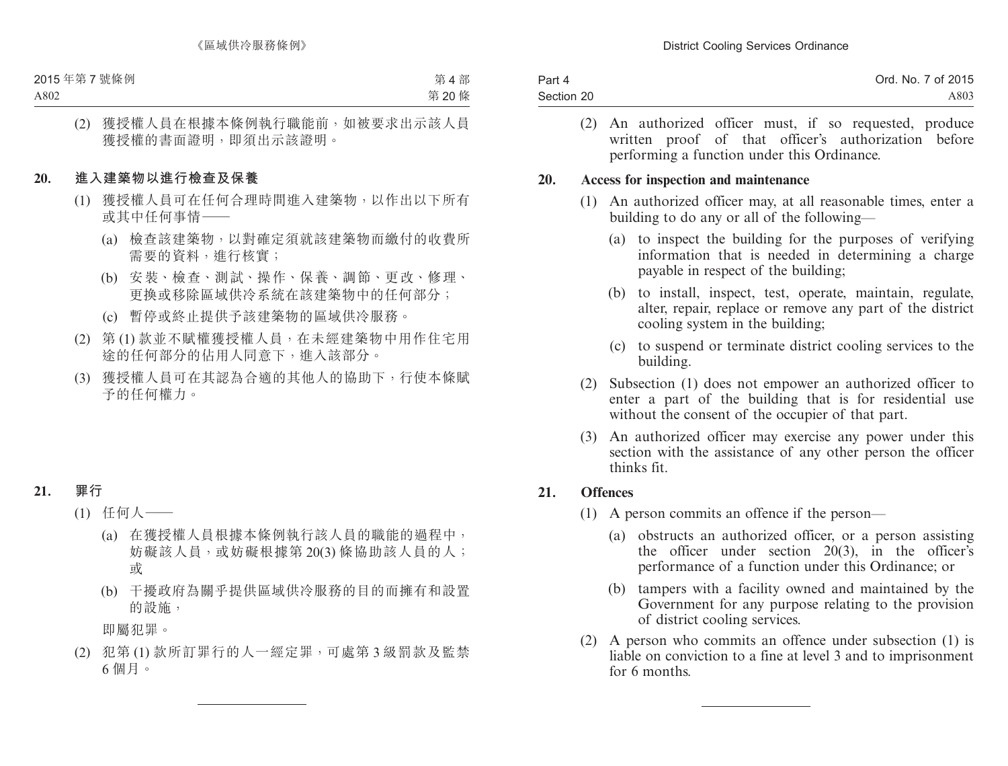| Part 4     | Ord. No. 7 of 2015 |
|------------|--------------------|
| Section 20 | A803               |

(2) An authorized officer must, if so requested, produce written proof of that officer's authorization before performing a function under this Ordinance.

#### **20. Access for inspection and maintenance**

- (1) An authorized officer may, at all reasonable times, enter a building to do any or all of the following—
	- (a) to inspect the building for the purposes of verifying information that is needed in determining a charge payable in respect of the building;
	- (b) to install, inspect, test, operate, maintain, regulate, alter, repair, replace or remove any part of the district cooling system in the building;
	- (c) to suspend or terminate district cooling services to the building.
- (2) Subsection (1) does not empower an authorized officer to enter a part of the building that is for residential use without the consent of the occupier of that part.
- (3) An authorized officer may exercise any power under this section with the assistance of any other person the officer thinks fit.

# **21. Offences**

- (1) A person commits an offence if the person—
	- (a) obstructs an authorized officer, or a person assisting the officer under section 20(3), in the officer's performance of a function under this Ordinance; or
	- (b) tampers with a facility owned and maintained by the Government for any purpose relating to the provision of district cooling services.
- (2) A person who commits an offence under subsection (1) is liable on conviction to a fine at level 3 and to imprisonment for 6 months.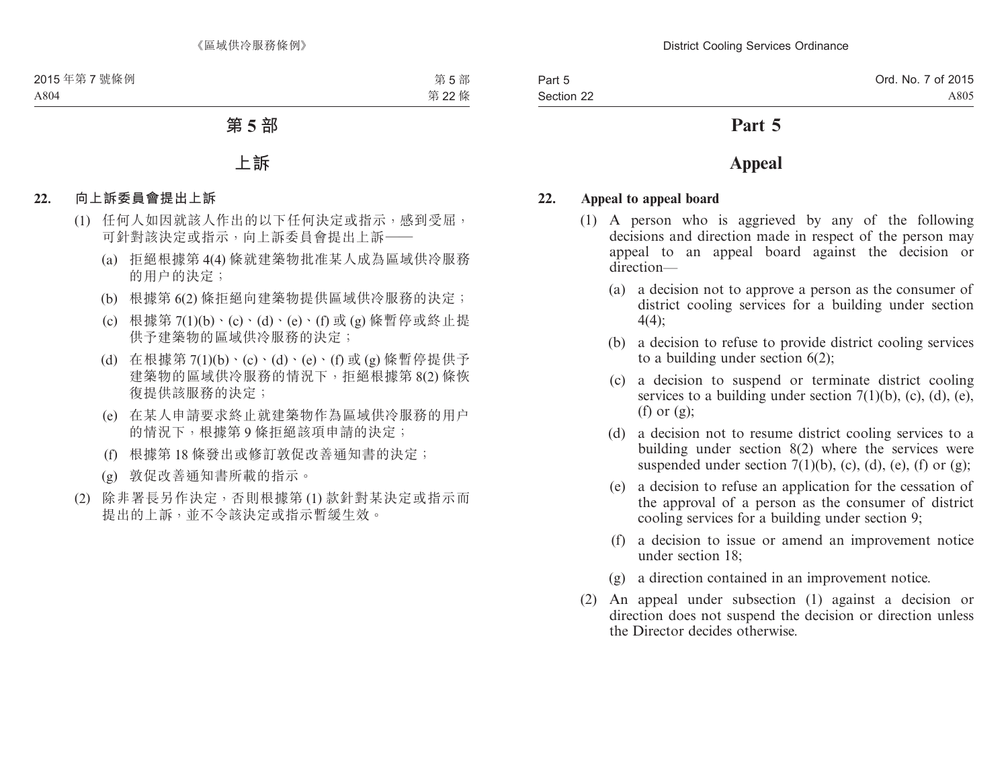# **Part 5**

# **Appeal**

### **22. Appeal to appeal board**

- (1) A person who is aggrieved by any of the following decisions and direction made in respect of the person may appeal to an appeal board against the decision or direction—
	- (a) a decision not to approve a person as the consumer of district cooling services for a building under section 4(4);
	- (b) a decision to refuse to provide district cooling services to a building under section 6(2);
	- (c) a decision to suspend or terminate district cooling services to a building under section  $7(1)(b)$ , (c), (d), (e), (f) or  $(g)$ :
	- (d) a decision not to resume district cooling services to a building under section 8(2) where the services were suspended under section  $7(1)(b)$ , (c), (d), (e), (f) or (g);
	- (e) a decision to refuse an application for the cessation of the approval of a person as the consumer of district cooling services for a building under section 9;
	- (f) a decision to issue or amend an improvement notice under section 18;
	- (g) a direction contained in an improvement notice.
- (2) An appeal under subsection (1) against a decision or direction does not suspend the decision or direction unless the Director decides otherwise.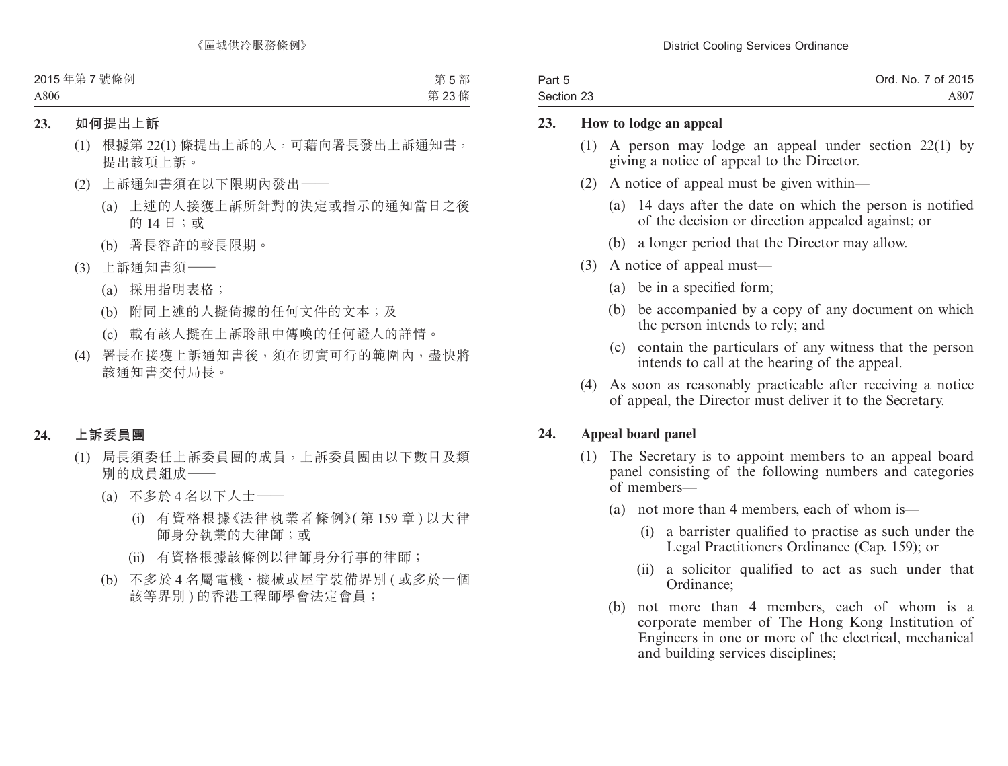| Part 5     | Ord. No. 7 of 2015 |
|------------|--------------------|
| Section 23 | A807               |

### **23. How to lodge an appeal**

- (1) A person may lodge an appeal under section 22(1) by giving a notice of appeal to the Director.
- (2) A notice of appeal must be given within—
	- (a) 14 days after the date on which the person is notified of the decision or direction appealed against; or
	- (b) a longer period that the Director may allow.
- (3) A notice of appeal must—
	- (a) be in a specified form;
	- (b) be accompanied by a copy of any document on which the person intends to rely; and
	- (c) contain the particulars of any witness that the person intends to call at the hearing of the appeal.
- (4) As soon as reasonably practicable after receiving a notice of appeal, the Director must deliver it to the Secretary.

# **24. Appeal board panel**

- (1) The Secretary is to appoint members to an appeal board panel consisting of the following numbers and categories of members—
	- (a) not more than 4 members, each of whom is—
		- (i) a barrister qualified to practise as such under the Legal Practitioners Ordinance (Cap. 159); or
		- (ii) a solicitor qualified to act as such under that Ordinance;
	- (b) not more than 4 members, each of whom is a corporate member of The Hong Kong Institution of Engineers in one or more of the electrical, mechanical and building services disciplines;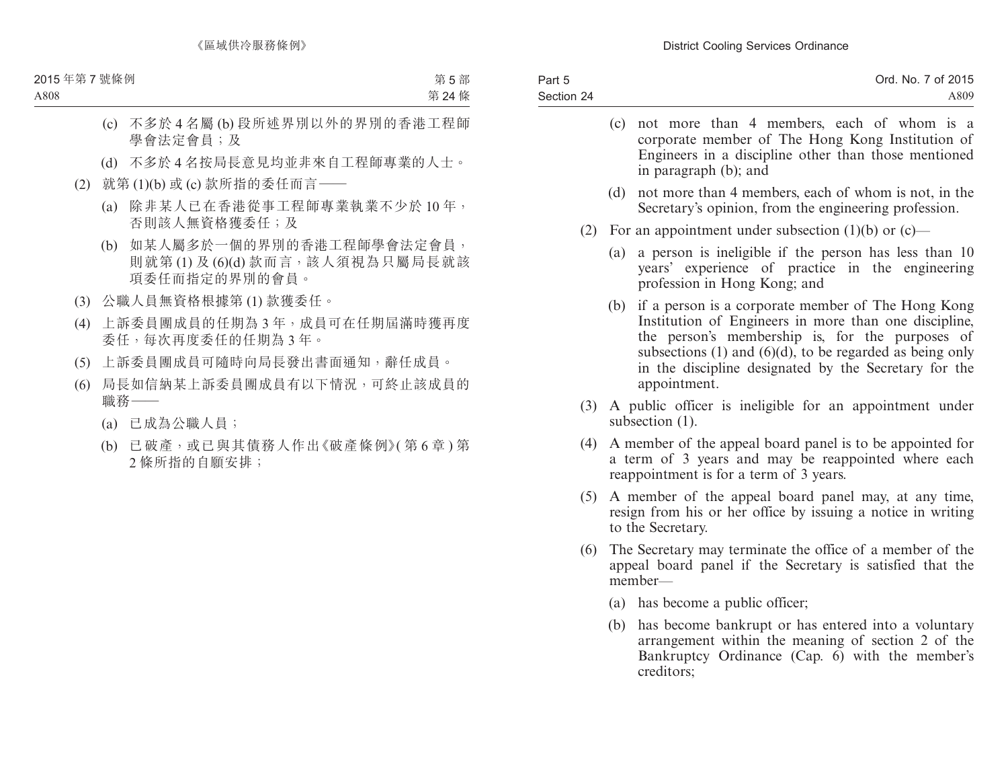| Part 5     | Ord. No. 7 of 2015 |
|------------|--------------------|
| Section 24 | A809               |
|            |                    |

- (c) not more than 4 members, each of whom is a corporate member of The Hong Kong Institution of Engineers in a discipline other than those mentioned in paragraph (b); and
- (d) not more than 4 members, each of whom is not, in the Secretary's opinion, from the engineering profession.
- (2) For an appointment under subsection (1)(b) or (c)—
	- (a) a person is ineligible if the person has less than 10 years' experience of practice in the engineering profession in Hong Kong; and
	- (b) if a person is a corporate member of The Hong Kong Institution of Engineers in more than one discipline, the person's membership is, for the purposes of subsections  $(1)$  and  $(6)(d)$ , to be regarded as being only in the discipline designated by the Secretary for the appointment.
- (3) A public officer is ineligible for an appointment under subsection  $(1)$ .
- (4) A member of the appeal board panel is to be appointed for a term of 3 years and may be reappointed where each reappointment is for a term of 3 years.
- (5) A member of the appeal board panel may, at any time, resign from his or her office by issuing a notice in writing to the Secretary.
- (6) The Secretary may terminate the office of a member of the appeal board panel if the Secretary is satisfied that the member—
	- (a) has become a public officer;
	- (b) has become bankrupt or has entered into a voluntary arrangement within the meaning of section 2 of the Bankruptcy Ordinance (Cap. 6) with the member's creditors;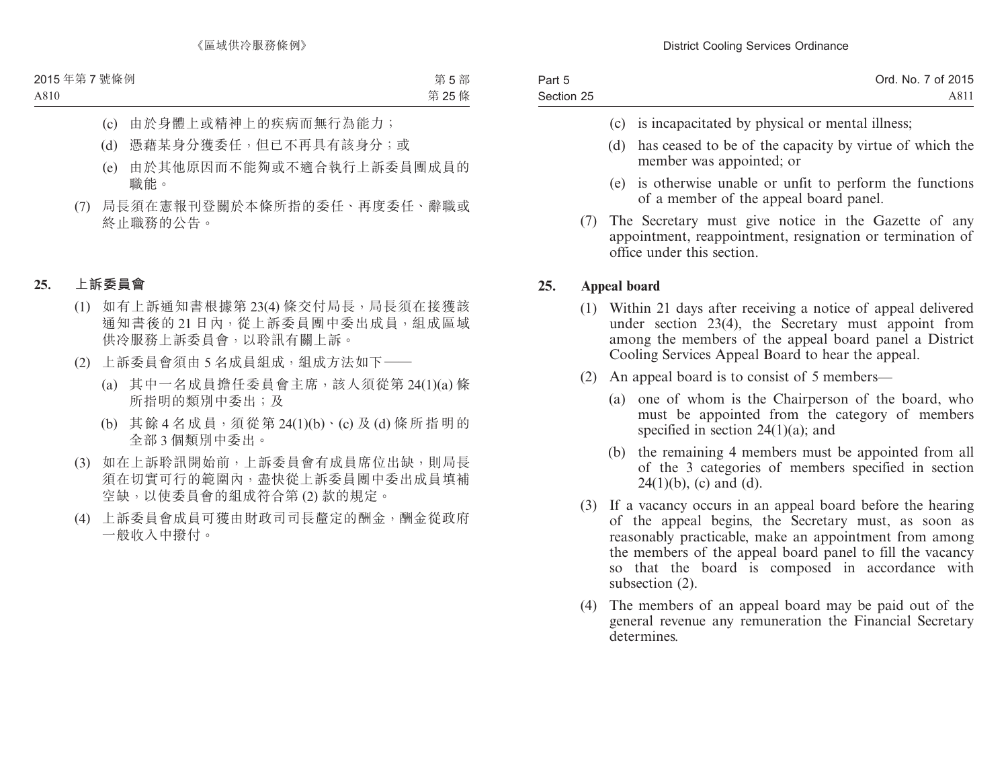| Part 5     | Ord. No. 7 of 2015 |
|------------|--------------------|
| Section 25 | A811               |

- (c) is incapacitated by physical or mental illness;
- (d) has ceased to be of the capacity by virtue of which the member was appointed; or
- (e) is otherwise unable or unfit to perform the functions of a member of the appeal board panel.
- (7) The Secretary must give notice in the Gazette of any appointment, reappointment, resignation or termination of office under this section.

# **25. Appeal board**

- (1) Within 21 days after receiving a notice of appeal delivered under section 23(4), the Secretary must appoint from among the members of the appeal board panel a District Cooling Services Appeal Board to hear the appeal.
- (2) An appeal board is to consist of 5 members—
	- (a) one of whom is the Chairperson of the board, who must be appointed from the category of members specified in section  $24(1)(a)$ ; and
	- (b) the remaining 4 members must be appointed from all of the 3 categories of members specified in section  $24(1)(b)$ , (c) and (d).
- (3) If a vacancy occurs in an appeal board before the hearing of the appeal begins, the Secretary must, as soon as reasonably practicable, make an appointment from among the members of the appeal board panel to fill the vacancy so that the board is composed in accordance with subsection (2).
- (4) The members of an appeal board may be paid out of the general revenue any remuneration the Financial Secretary determines.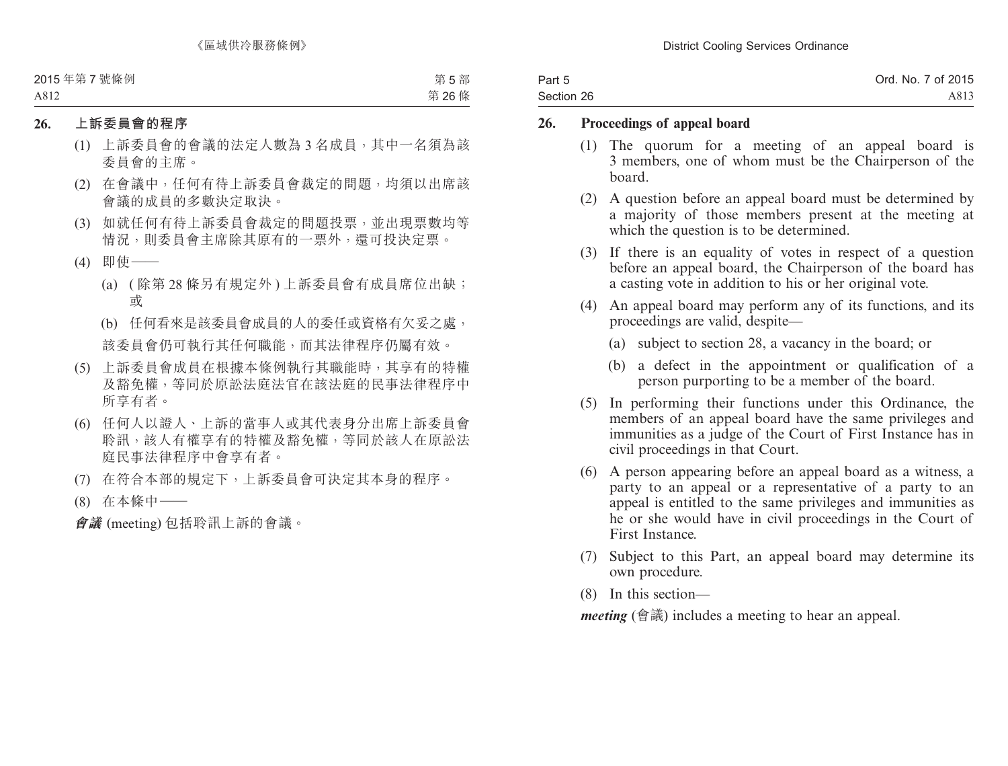| Part 5     | Ord. No. 7 of 2015 |
|------------|--------------------|
| Section 26 | A813               |

### **26. Proceedings of appeal board**

- (1) The quorum for a meeting of an appeal board is 3 members, one of whom must be the Chairperson of the board.
- (2) A question before an appeal board must be determined by a majority of those members present at the meeting at which the question is to be determined.
- (3) If there is an equality of votes in respect of a question before an appeal board, the Chairperson of the board has a casting vote in addition to his or her original vote.
- (4) An appeal board may perform any of its functions, and its proceedings are valid, despite—
	- (a) subject to section 28, a vacancy in the board; or
	- (b) a defect in the appointment or qualification of a person purporting to be a member of the board.
- (5) In performing their functions under this Ordinance, the members of an appeal board have the same privileges and immunities as a judge of the Court of First Instance has in civil proceedings in that Court.
- (6) A person appearing before an appeal board as a witness, a party to an appeal or a representative of a party to an appeal is entitled to the same privileges and immunities as he or she would have in civil proceedings in the Court of First Instance.
- (7) Subject to this Part, an appeal board may determine its own procedure.
- (8) In this section—

*meeting* (會議) includes a meeting to hear an appeal.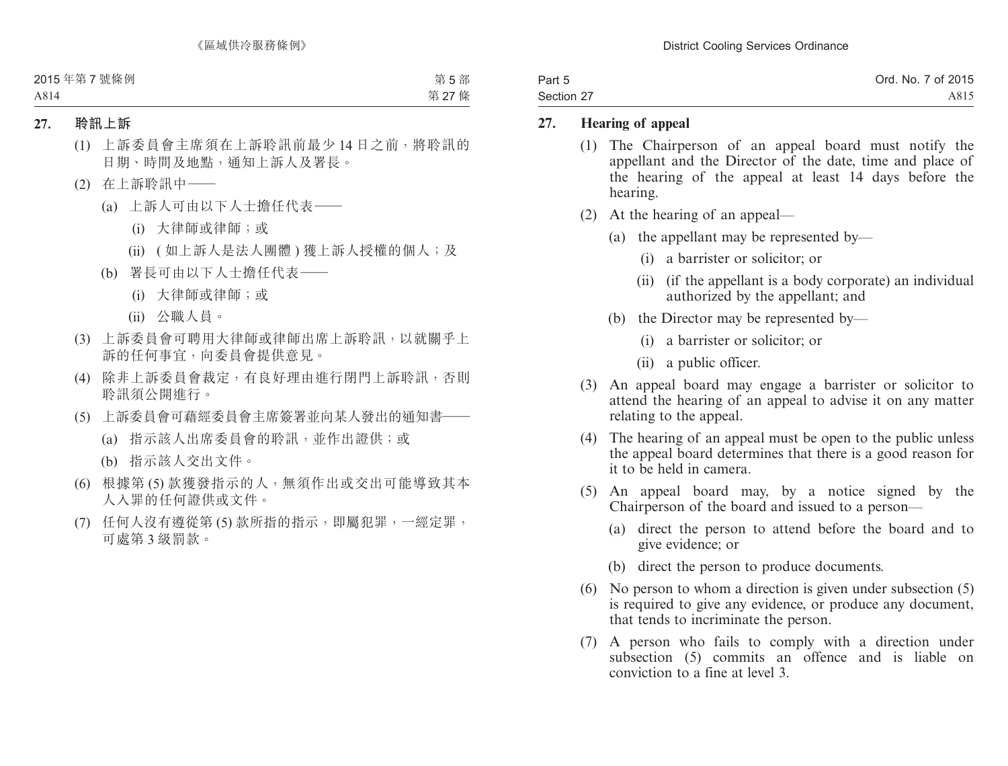| Part 5     | Ord. No. 7 of 2015 |
|------------|--------------------|
| Section 27 | A815               |

### **27. Hearing of appeal**

- (1) The Chairperson of an appeal board must notify the appellant and the Director of the date, time and place of the hearing of the appeal at least 14 days before the hearing.
- (2) At the hearing of an appeal—
	- (a) the appellant may be represented by—
		- (i) a barrister or solicitor; or
		- (ii) (if the appellant is a body corporate) an individual authorized by the appellant; and
	- (b) the Director may be represented by—
		- (i) a barrister or solicitor; or
		- (ii) a public officer.
- (3) An appeal board may engage a barrister or solicitor to attend the hearing of an appeal to advise it on any matter relating to the appeal.
- (4) The hearing of an appeal must be open to the public unless the appeal board determines that there is a good reason for it to be held in camera.
- (5) An appeal board may, by a notice signed by the Chairperson of the board and issued to a person—
	- (a) direct the person to attend before the board and to give evidence; or
	- (b) direct the person to produce documents.
- (6) No person to whom a direction is given under subsection (5) is required to give any evidence, or produce any document, that tends to incriminate the person.
- (7) A person who fails to comply with a direction under subsection (5) commits an offence and is liable on conviction to a fine at level 3.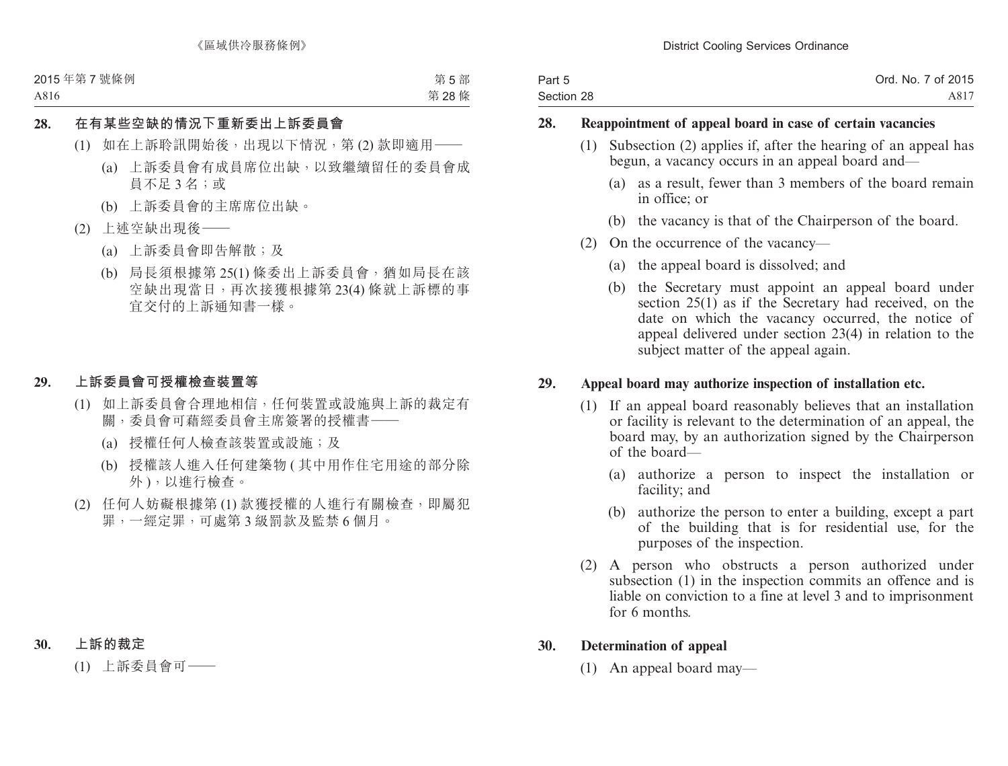| Part 5     | Ord. No. 7 of 2015 |
|------------|--------------------|
| Section 28 | A817               |

### **28. Reappointment of appeal board in case of certain vacancies**

- (1) Subsection (2) applies if, after the hearing of an appeal has begun, a vacancy occurs in an appeal board and—
	- (a) as a result, fewer than 3 members of the board remain in office; or
	- (b) the vacancy is that of the Chairperson of the board.
- (2) On the occurrence of the vacancy—
	- (a) the appeal board is dissolved; and
	- (b) the Secretary must appoint an appeal board under section 25(1) as if the Secretary had received, on the date on which the vacancy occurred, the notice of appeal delivered under section 23(4) in relation to the subject matter of the appeal again.

# **29. Appeal board may authorize inspection of installation etc.**

- (1) If an appeal board reasonably believes that an installation or facility is relevant to the determination of an appeal, the board may, by an authorization signed by the Chairperson of the board—
	- (a) authorize a person to inspect the installation or facility; and
	- (b) authorize the person to enter a building, except a part of the building that is for residential use, for the purposes of the inspection.
- (2) A person who obstructs a person authorized under subsection (1) in the inspection commits an offence and is liable on conviction to a fine at level 3 and to imprisonment for 6 months.

# **30. Determination of appeal**

(1) An appeal board may—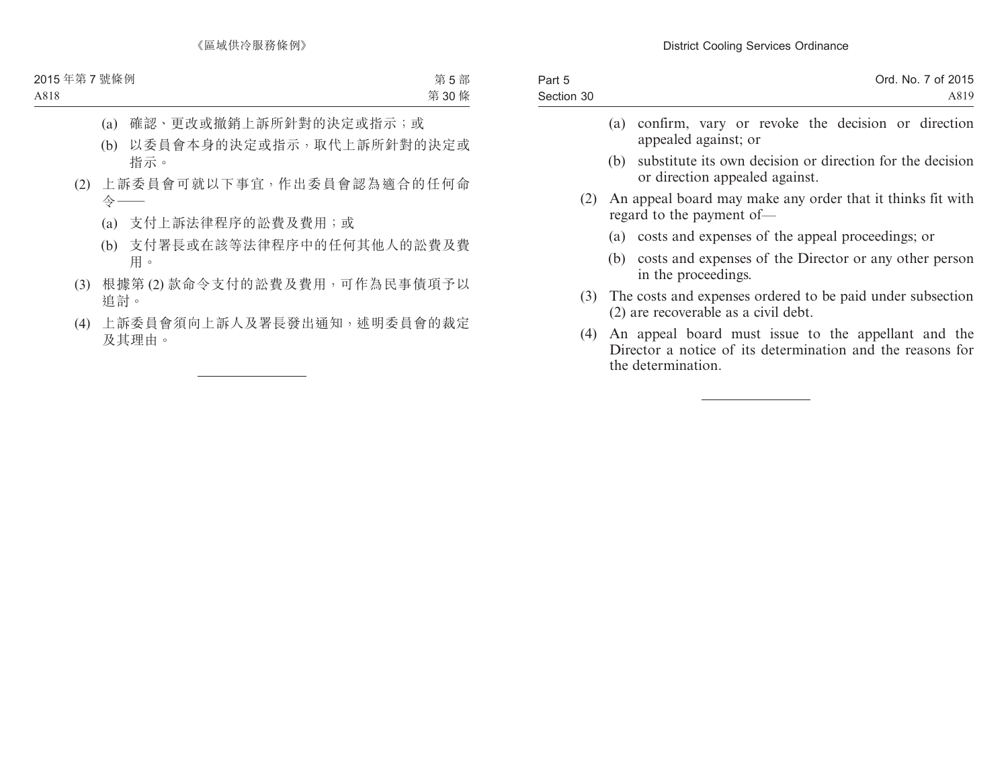| Part 5     | Ord. No. 7 of 2015 |
|------------|--------------------|
| Section 30 | A819               |
|            |                    |

- (a) confirm, vary or revoke the decision or direction appealed against; or
- (b) substitute its own decision or direction for the decision or direction appealed against.
- (2) An appeal board may make any order that it thinks fit with regard to the payment of—
	- (a) costs and expenses of the appeal proceedings; or
	- (b) costs and expenses of the Director or any other person in the proceedings.
- (3) The costs and expenses ordered to be paid under subsection (2) are recoverable as a civil debt.
- (4) An appeal board must issue to the appellant and the Director a notice of its determination and the reasons for the determination.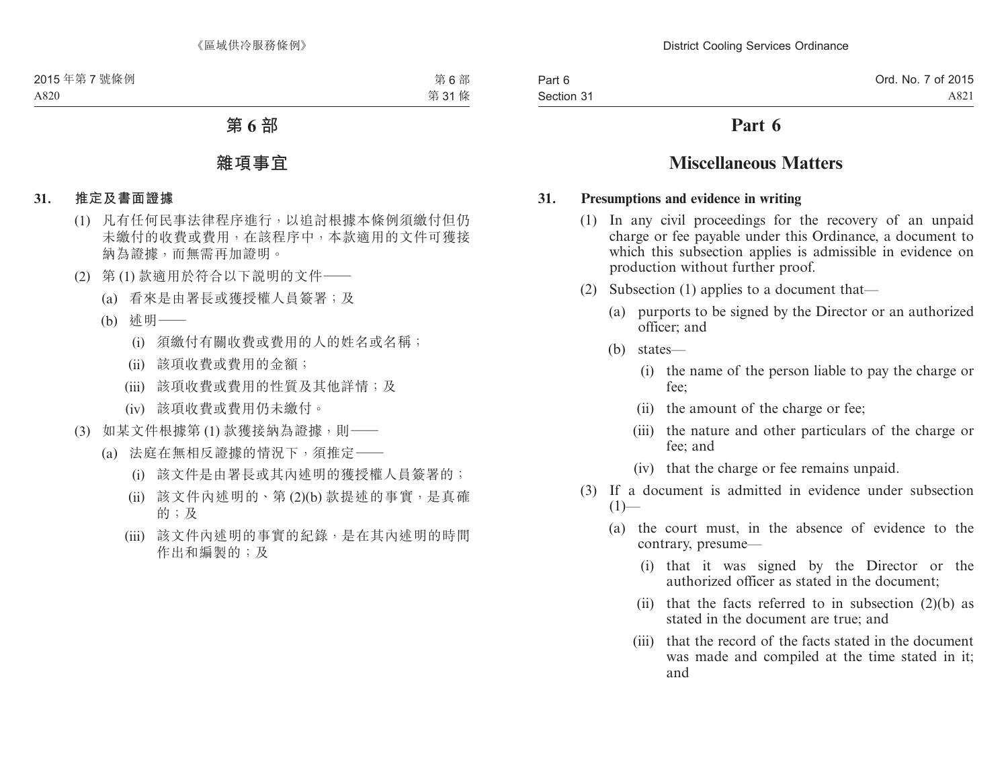# **Part 6**

# **Miscellaneous Matters**

#### **31. Presumptions and evidence in writing**

- (1) In any civil proceedings for the recovery of an unpaid charge or fee payable under this Ordinance, a document to which this subsection applies is admissible in evidence on production without further proof.
- (2) Subsection (1) applies to a document that—
	- (a) purports to be signed by the Director or an authorized officer; and
	- (b) states—
		- (i) the name of the person liable to pay the charge or fee;
		- (ii) the amount of the charge or fee;
		- (iii) the nature and other particulars of the charge or fee; and
		- (iv) that the charge or fee remains unpaid.
- (3) If a document is admitted in evidence under subsection  $(1)$ —
	- (a) the court must, in the absence of evidence to the contrary, presume—
		- (i) that it was signed by the Director or the authorized officer as stated in the document;
		- (ii) that the facts referred to in subsection  $(2)(b)$  as stated in the document are true; and
		- (iii) that the record of the facts stated in the document was made and compiled at the time stated in it; and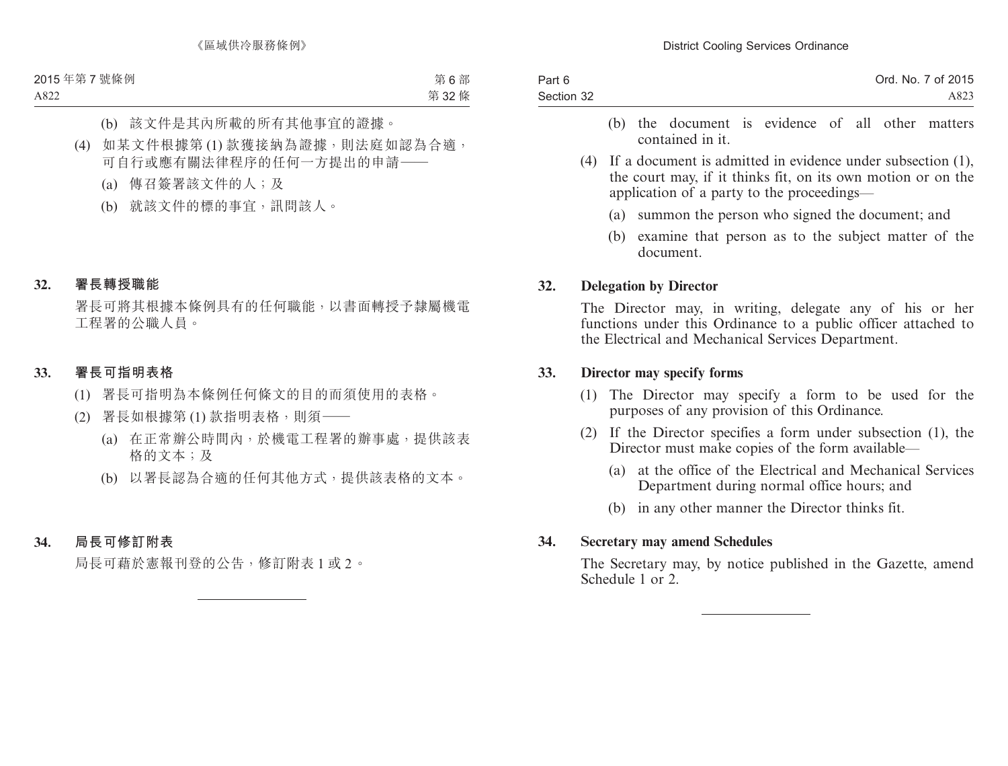| Part 6     | Ord. No. 7 of 2015 |
|------------|--------------------|
| Section 32 | A823               |

- (b) the document is evidence of all other matters contained in it.
- (4) If a document is admitted in evidence under subsection (1), the court may, if it thinks fit, on its own motion or on the application of a party to the proceedings—
	- (a) summon the person who signed the document; and
	- (b) examine that person as to the subject matter of the document.

# **32. Delegation by Director**

The Director may, in writing, delegate any of his or her functions under this Ordinance to a public officer attached to the Electrical and Mechanical Services Department.

### **33. Director may specify forms**

- (1) The Director may specify a form to be used for the purposes of any provision of this Ordinance.
- (2) If the Director specifies a form under subsection (1), the Director must make copies of the form available—
	- (a) at the office of the Electrical and Mechanical Services Department during normal office hours; and
	- (b) in any other manner the Director thinks fit.

### **34. Secretary may amend Schedules**

The Secretary may, by notice published in the Gazette, amend Schedule 1 or 2.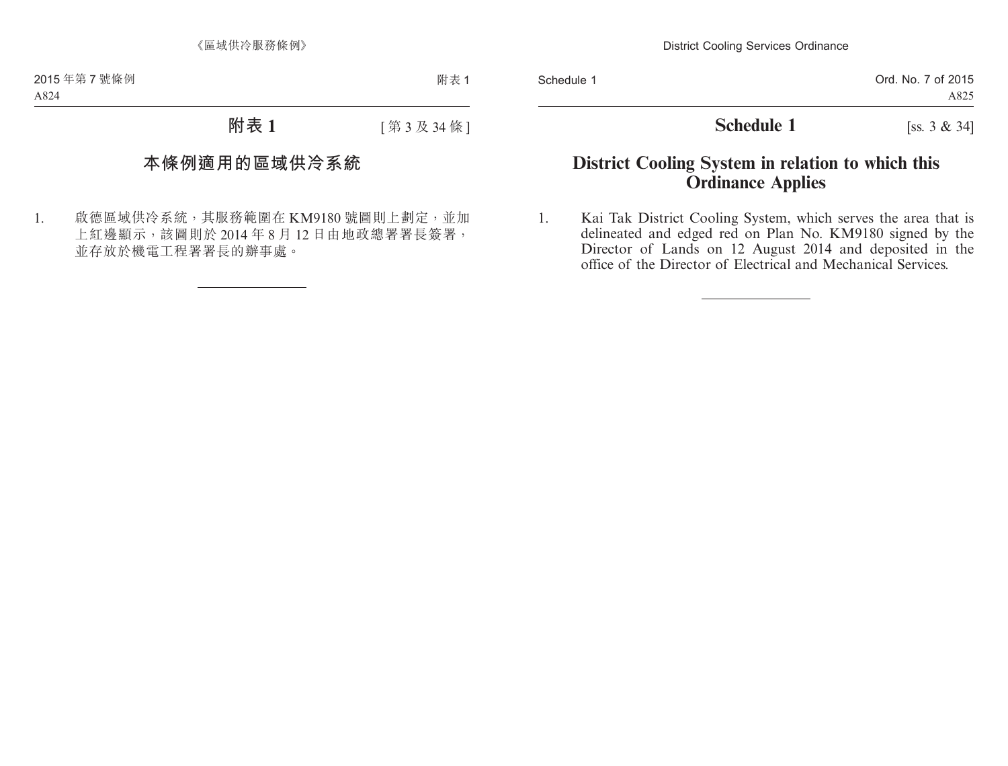# **Schedule 1** [ss. 3 & 34]

# **District Cooling System in relation to which this Ordinance Applies**

1. Kai Tak District Cooling System, which serves the area that is delineated and edged red on Plan No. KM9180 signed by the Director of Lands on 12 August 2014 and deposited in the office of the Director of Electrical and Mechanical Services.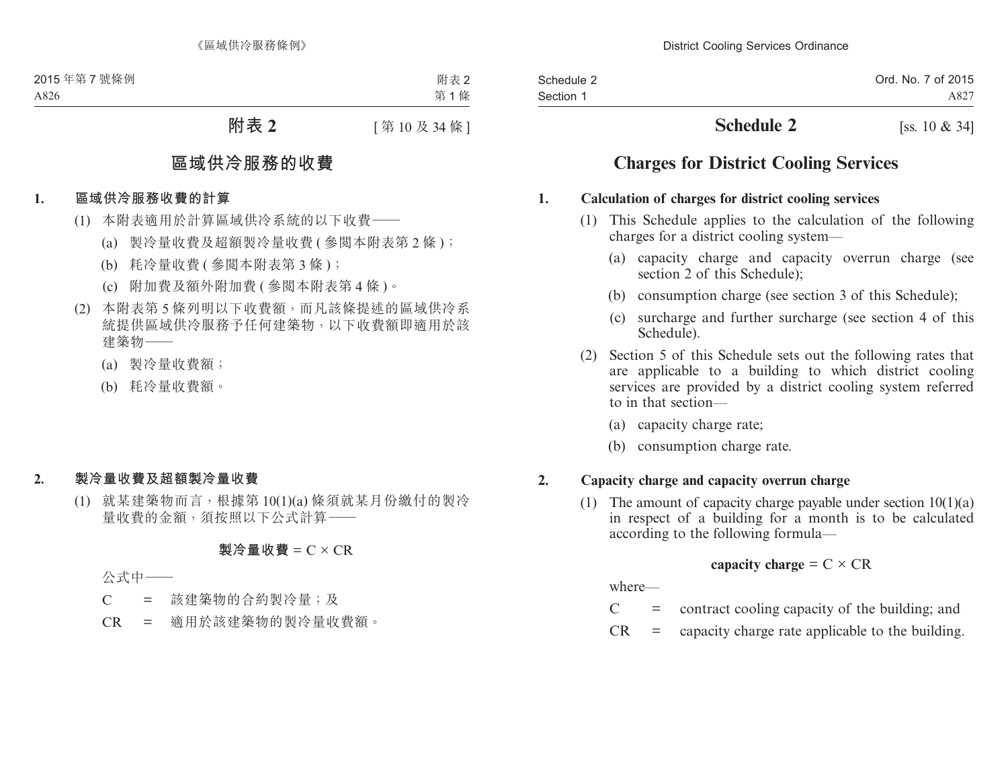| Schedule 2 | Ord. No. 7 of 2015 |
|------------|--------------------|
| Section 1  | A827               |

# **Schedule 2** [ss. 10 & 34]

# **Charges for District Cooling Services**

# **1. Calculation of charges for district cooling services**

- (1) This Schedule applies to the calculation of the following charges for a district cooling system—
	- (a) capacity charge and capacity overrun charge (see section 2 of this Schedule):
	- (b) consumption charge (see section 3 of this Schedule);
	- (c) surcharge and further surcharge (see section 4 of this Schedule).
- (2) Section 5 of this Schedule sets out the following rates that are applicable to a building to which district cooling services are provided by a district cooling system referred to in that section—
	- (a) capacity charge rate;
	- (b) consumption charge rate.

# **2. Capacity charge and capacity overrun charge**

(1) The amount of capacity charge payable under section 10(1)(a) in respect of a building for a month is to be calculated according to the following formula—

capacity charge = 
$$
C \times CR
$$

where—

- $C =$  contract cooling capacity of the building; and
- $CR =$  capacity charge rate applicable to the building.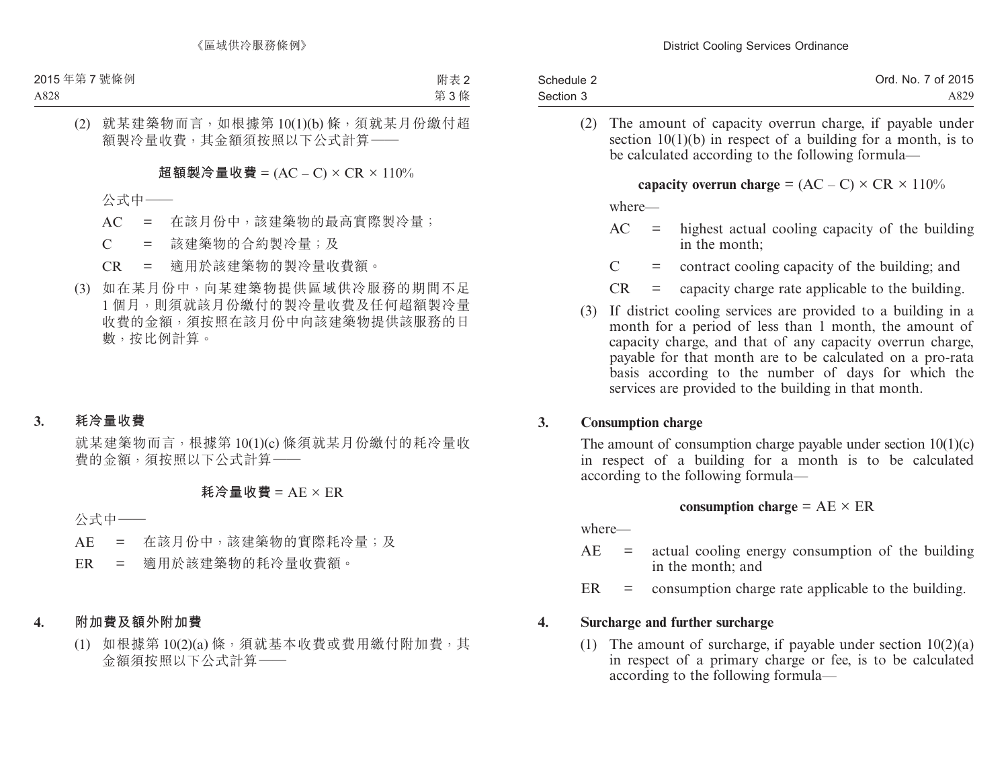| Schedule 2 | Ord. No. 7 of 2015 |
|------------|--------------------|
| Section 3  | A829               |

(2) The amount of capacity overrun charge, if payable under section  $10(1)(b)$  in respect of a building for a month, is to be calculated according to the following formula—

**capacity overrun charge** =  $(AC - C) \times CR \times 110\%$ 

where—

- $AC =$  highest actual cooling capacity of the building in the month;
- $C =$  contract cooling capacity of the building; and
- $CR =$  capacity charge rate applicable to the building.
- (3) If district cooling services are provided to a building in a month for a period of less than 1 month, the amount of capacity charge, and that of any capacity overrun charge, payable for that month are to be calculated on a pro-rata basis according to the number of days for which the services are provided to the building in that month.

# **3. Consumption charge**

The amount of consumption charge payable under section  $10(1)(c)$ in respect of a building for a month is to be calculated according to the following formula—

# **consumption charge** =  $AE \times ER$

where—

- $AE = actual cooling energy consumption of the building$ in the month; and
- $ER =$  consumption charge rate applicable to the building.

# **4. Surcharge and further surcharge**

(1) The amount of surcharge, if payable under section  $10(2)(a)$ in respect of a primary charge or fee, is to be calculated according to the following formula—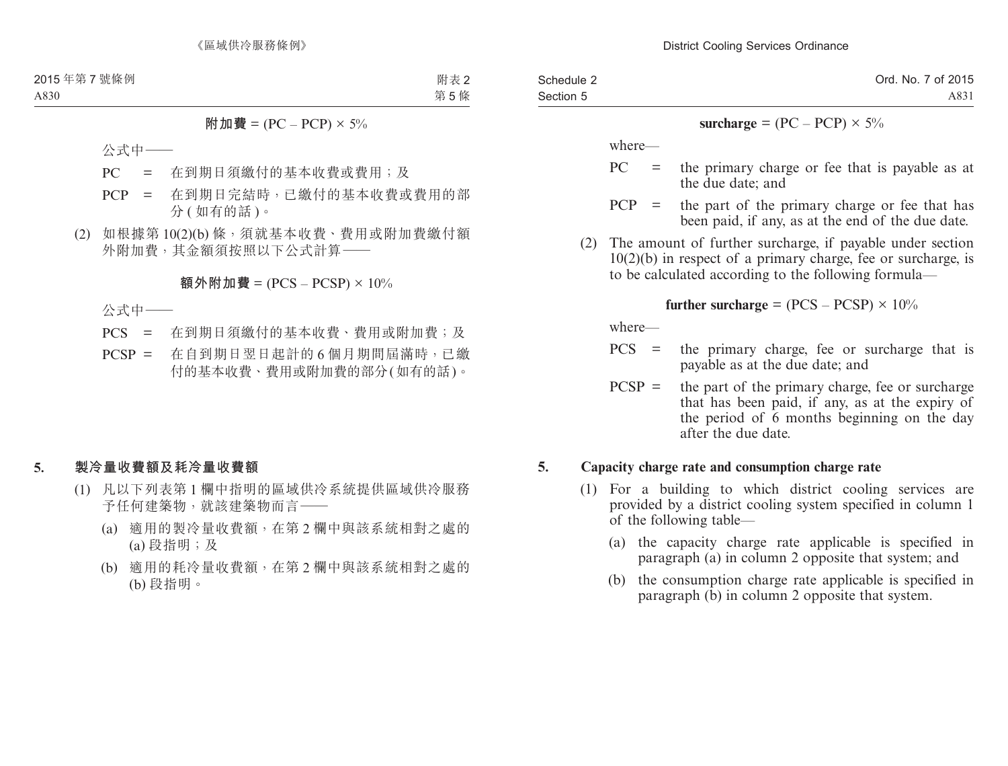| Schedule 2 | Ord. No. 7 of 2015 |
|------------|--------------------|
| Section 5  | A831               |

#### **surcharge** =  $(PC - PCP) \times 5\%$

where—

- $PC =$  the primary charge or fee that is payable as at the due date; and
- $PCP =$  the part of the primary charge or fee that has been paid, if any, as at the end of the due date.
- (2) The amount of further surcharge, if payable under section 10(2)(b) in respect of a primary charge, fee or surcharge, is to be calculated according to the following formula—

#### **further surcharge** =  $(PCS - PCSP) \times 10\%$

where—

- PCS = the primary charge, fee or surcharge that is payable as at the due date; and
- $PCSP =$  the part of the primary charge, fee or surcharge that has been paid, if any, as at the expiry of the period of 6 months beginning on the day after the due date.

### **5. Capacity charge rate and consumption charge rate**

- (1) For a building to which district cooling services are provided by a district cooling system specified in column 1 of the following table—
	- (a) the capacity charge rate applicable is specified in paragraph (a) in column 2 opposite that system; and
	- (b) the consumption charge rate applicable is specified in paragraph (b) in column 2 opposite that system.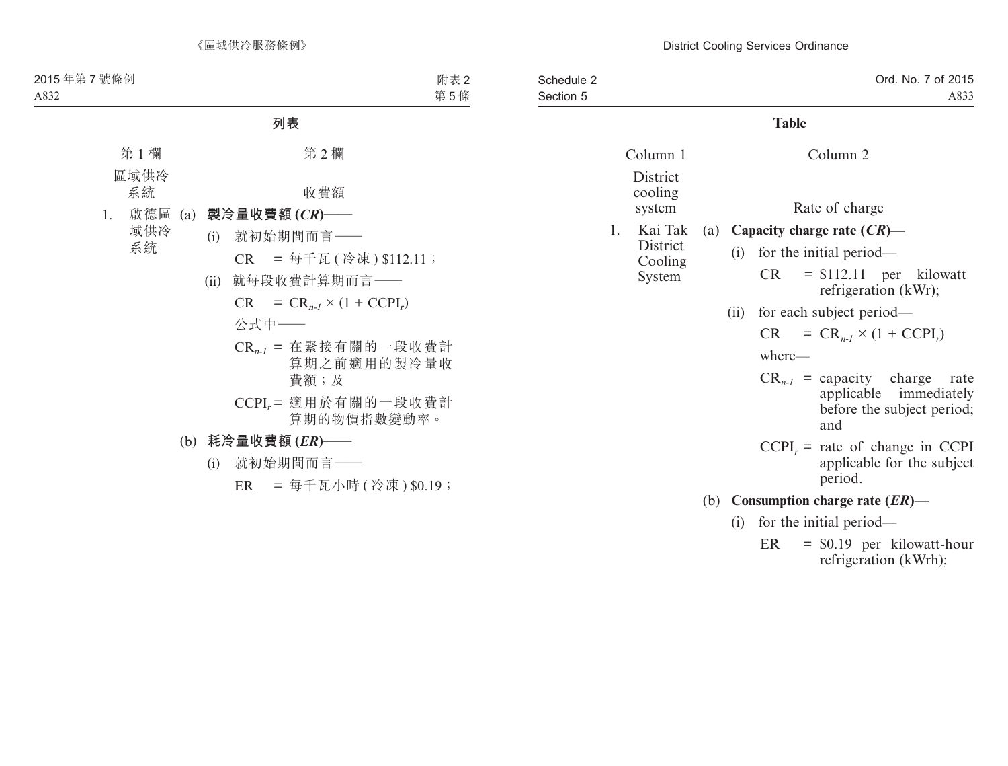| Schedule 2<br>Section 5 |    |                      |     |                                                          | Ord. No. 7 of 2015<br>A833                                                                          |
|-------------------------|----|----------------------|-----|----------------------------------------------------------|-----------------------------------------------------------------------------------------------------|
|                         |    |                      |     |                                                          | <b>Table</b>                                                                                        |
|                         |    | Column 1<br>District |     |                                                          | Column <sub>2</sub>                                                                                 |
|                         |    | cooling<br>system    |     |                                                          | Rate of charge                                                                                      |
|                         | 1. | Kai Tak              |     |                                                          | (a) Capacity charge rate $(CR)$ —                                                                   |
|                         |    | District             |     | (i)                                                      | for the initial period—                                                                             |
| Cooling<br>System       |    |                      |     | CR.<br>$=$ \$112.11 per kilowatt<br>refrigeration (kWr); |                                                                                                     |
|                         |    |                      |     | (ii)                                                     | for each subject period—                                                                            |
|                         |    |                      |     |                                                          | $= CR_{n-l} \times (1 + CCPI_r)$<br>CR.                                                             |
|                         |    |                      |     |                                                          | where-                                                                                              |
|                         |    |                      |     |                                                          | $CR_{n-1}$ = capacity charge<br>rate<br>applicable immediately<br>before the subject period;<br>and |
|                         |    |                      |     |                                                          | $CCPIr$ = rate of change in CCPI<br>applicable for the subject<br>period.                           |
|                         |    |                      | (b) |                                                          | Consumption charge rate $(ER)$ —                                                                    |
|                         |    |                      |     | (i)                                                      | for the initial period—                                                                             |
|                         |    |                      |     |                                                          | ER<br>$=$ \$0.19 per kilowatt-hour<br>refrigeration (kWrh);                                         |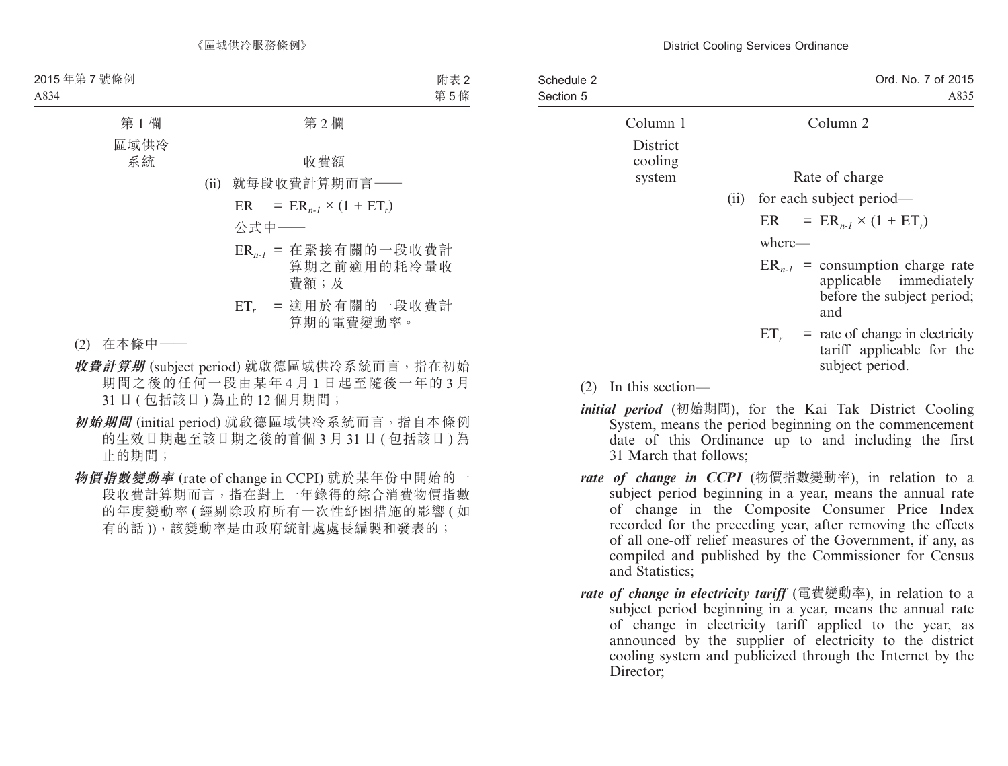| Schedule 2<br>Section 5 |                     | Ord. No. 7 of 2015<br>A835                                                                          |
|-------------------------|---------------------|-----------------------------------------------------------------------------------------------------|
|                         | Column 1            | Column 2                                                                                            |
|                         | District<br>cooling |                                                                                                     |
|                         | system              | Rate of charge                                                                                      |
|                         |                     | (ii) for each subject period—                                                                       |
|                         |                     | $ER = ER_{n-1} \times (1 + ET_r)$                                                                   |
|                         |                     | where—                                                                                              |
|                         |                     | $ER_{n-1}$ = consumption charge rate<br>applicable immediately<br>before the subject period;<br>and |
|                         |                     | $=$ rate of change in electricity<br>$ET_r$<br>tariff applicable for the<br>subject period.         |
|                         |                     |                                                                                                     |

- (2) In this section—
- *initial period* (初始期間), for the Kai Tak District Cooling System, means the period beginning on the commencement date of this Ordinance up to and including the first 31 March that follows;
- *rate of change in CCPI* (物價指數變動率), in relation to a subject period beginning in a year, means the annual rate of change in the Composite Consumer Price Index recorded for the preceding year, after removing the effects of all one-off relief measures of the Government, if any, as compiled and published by the Commissioner for Census and Statistics;
- *rate of change in electricity tariff* (電費變動率), in relation to a subject period beginning in a year, means the annual rate of change in electricity tariff applied to the year, as announced by the supplier of electricity to the district cooling system and publicized through the Internet by the Director: